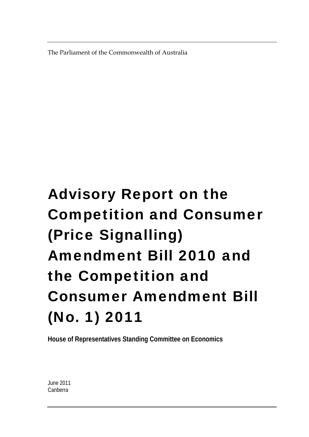The Parliament of the Commonwealth of Australia

### Advisory Report on the Competition and Consumer (Price Signalling) Amendment Bill 2010 and the Competition and Consumer Amendment Bill (No. 1) 2011

**House of Representatives Standing Committee on Economics** 

June 2011 Canberra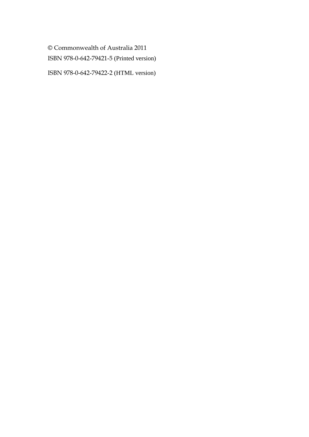© Commonwealth of Australia 2011 ISBN 978-0-642-79421-5 (Printed version)

ISBN 978-0-642-79422-2 (HTML version)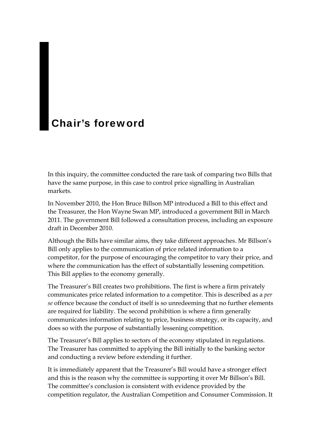### <span id="page-2-0"></span>Chair's foreword

In this inquiry, the committee conducted the rare task of comparing two Bills that have the same purpose, in this case to control price signalling in Australian markets.

In November 2010, the Hon Bruce Billson MP introduced a Bill to this effect and the Treasurer, the Hon Wayne Swan MP, introduced a government Bill in March 2011. The government Bill followed a consultation process, including an exposure draft in December 2010.

Although the Bills have similar aims, they take different approaches. Mr Billson's Bill only applies to the communication of price related information to a competitor, for the purpose of encouraging the competitor to vary their price, and where the communication has the effect of substantially lessening competition. This Bill applies to the economy generally.

The Treasurer's Bill creates two prohibitions. The first is where a firm privately communicates price related information to a competitor. This is described as a *per se* offence because the conduct of itself is so unredeeming that no further elements are required for liability. The second prohibition is where a firm generally communicates information relating to price, business strategy, or its capacity, and does so with the purpose of substantially lessening competition.

The Treasurer's Bill applies to sectors of the economy stipulated in regulations. The Treasurer has committed to applying the Bill initially to the banking sector and conducting a review before extending it further.

It is immediately apparent that the Treasurer's Bill would have a stronger effect and this is the reason why the committee is supporting it over Mr Billson's Bill. The committee's conclusion is consistent with evidence provided by the competition regulator, the Australian Competition and Consumer Commission. It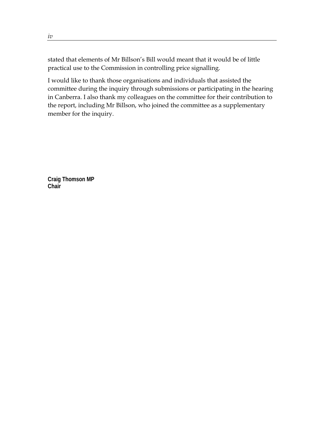stated that elements of Mr Billson's Bill would meant that it would be of little practical use to the Commission in controlling price signalling.

I would like to thank those organisations and individuals that assisted the committee during the inquiry through submissions or participating in the hearing in Canberra. I also thank my colleagues on the committee for their contribution to the report, including Mr Billson, who joined the committee as a supplementary member for the inquiry.

**Craig Thomson MP Chair**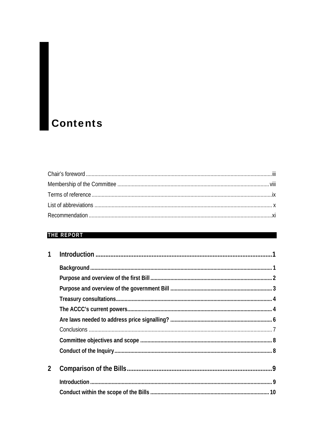## **Contents**

### **THE REPORT**

| $\overline{2}$ |  |
|----------------|--|
|                |  |
|                |  |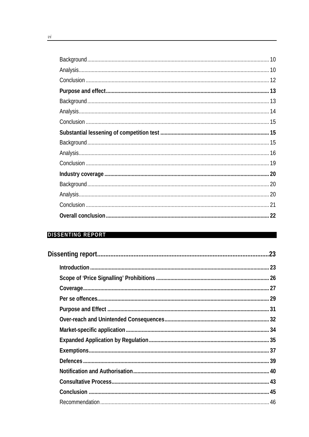| 22 |
|----|

### DISSENTING REPORT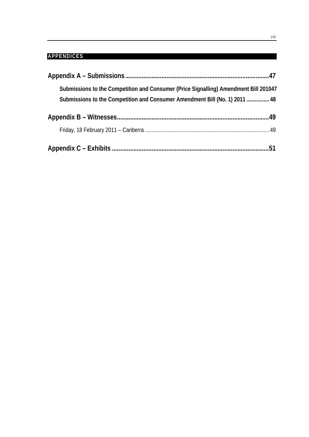### **APPENDICES**

| Submissions to the Competition and Consumer (Price Signalling) Amendment Bill 201047<br>Submissions to the Competition and Consumer Amendment Bill (No. 1) 2011  48 |  |
|---------------------------------------------------------------------------------------------------------------------------------------------------------------------|--|
|                                                                                                                                                                     |  |
|                                                                                                                                                                     |  |
|                                                                                                                                                                     |  |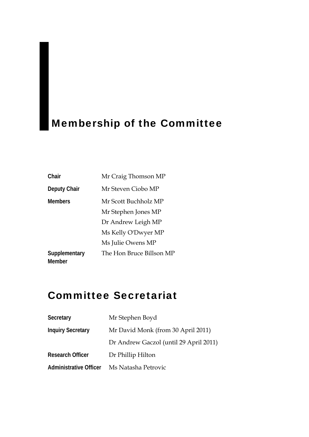### <span id="page-7-0"></span>Membership of the Committee

| Chair                          | Mr Craig Thomson MP      |
|--------------------------------|--------------------------|
| Deputy Chair                   | Mr Steven Ciobo MP       |
| <b>Members</b>                 | Mr Scott Buchholz MP     |
|                                | Mr Stephen Jones MP      |
|                                | Dr Andrew Leigh MP       |
|                                | Ms Kelly O'Dwyer MP      |
|                                | Ms Julie Owens MP        |
| Supplementary<br><b>Member</b> | The Hon Bruce Billson MP |

### Committee Secretariat

| Secretary                     | Mr Stephen Boyd                        |
|-------------------------------|----------------------------------------|
| <b>Inquiry Secretary</b>      | Mr David Monk (from 30 April 2011)     |
|                               | Dr Andrew Gaczol (until 29 April 2011) |
| <b>Research Officer</b>       | Dr Phillip Hilton                      |
| <b>Administrative Officer</b> | Ms Natasha Petrovic                    |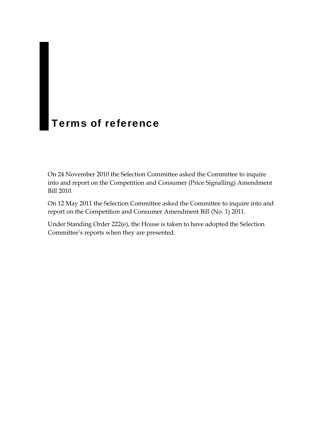### <span id="page-8-0"></span>Terms of reference

On 24 November 2010 the Selection Committee asked the Committee to inquire into and report on the Competition and Consumer (Price Signalling) Amendment Bill 2010.

On 12 May 2011 the Selection Committee asked the Committee to inquire into and report on the Competition and Consumer Amendment Bill (No. 1) 2011.

Under Standing Order 222(e), the House is taken to have adopted the Selection Committee's reports when they are presented.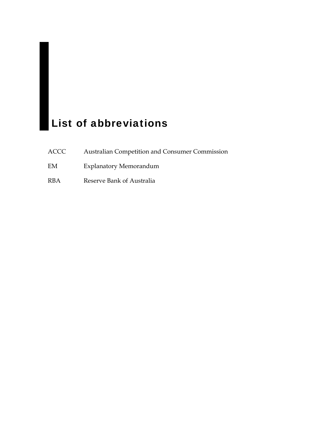### <span id="page-9-0"></span>**List of abbreviations**

- ACCC Australian Competition and Consumer Commission
- EM Explanatory Memorandum
- RBA Reserve Bank of Australia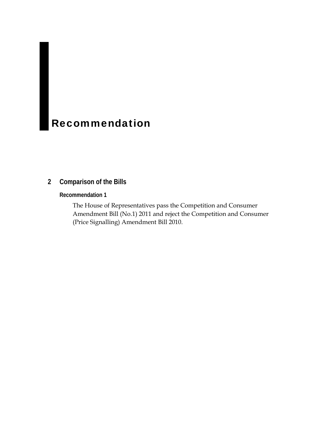### <span id="page-10-0"></span>**Recommendation**

### **2 Comparison of the Bills**

**Recommendation 1**

The House of Representatives pass the Competition and Consumer Amendment Bill (No.1) 2011 and reject the Competition and Consumer (Price Signalling) Amendment Bill 2010.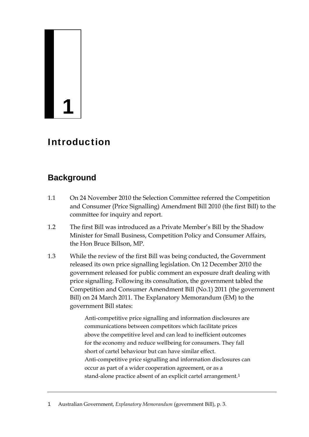# **1**

### Introduction

### **Background**

- 1.1 On 24 November 2010 the Selection Committee referred the Competition and Consumer (Price Signalling) Amendment Bill 2010 (the first Bill) to the committee for inquiry and report.
- 1.2 The first Bill was introduced as a Private Member's Bill by the Shadow Minister for Small Business, Competition Policy and Consumer Affairs, the Hon Bruce Billson, MP.
- 1.3 While the review of the first Bill was being conducted, the Government released its own price signalling legislation. On 12 December 2010 the government released for public comment an exposure draft dealing with price signalling. Following its consultation, the government tabled the Competition and Consumer Amendment Bill (No.1) 2011 (the government Bill) on 24 March 2011. The Explanatory Memorandum (EM) to the government Bill states:

Anti-competitive price signalling and information disclosures are communications between competitors which facilitate prices above the competitive level and can lead to inefficient outcomes for the economy and reduce wellbeing for consumers. They fall short of cartel behaviour but can have similar effect. Anti-competitive price signalling and information disclosures can occur as part of a wider cooperation agreement, or as a stand-alone practice absent of an explicit cartel arrangement.<sup>[1](#page-12-0)</sup>

<span id="page-12-0"></span><sup>1</sup> Australian Government, *Explanatory Memorandum* (government Bill), p. 3.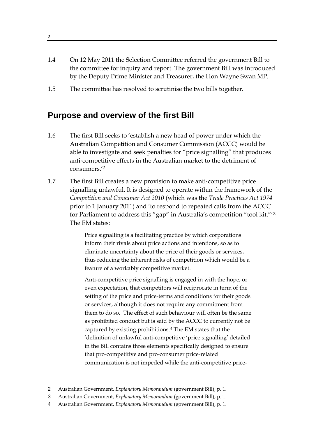- 1.4 On 12 May 2011 the Selection Committee referred the government Bill to the committee for inquiry and report. The government Bill was introduced by the Deputy Prime Minister and Treasurer, the Hon Wayne Swan MP.
- 1.5 The committee has resolved to scrutinise the two bills together.

### **Purpose and overview of the first Bill**

- 1.6 The first Bill seeks to 'establish a new head of power under which the Australian Competition and Consumer Commission (ACCC) would be able to investigate and seek penalties for "price signalling" that produces anti-competitive effects in the Australian market to the detriment of consumers.'[2](#page-13-0)
- 1.7 The first Bill creates a new provision to make anti-competitive price signalling unlawful. It is designed to operate within the framework of the *Competition and Consumer Act 2010* (which was the *Trade Practices Act 1974*  prior to 1 January 2011) and 'to respond to repeated calls from the ACCC for Parliament to address this "gap" in Australia's competition "tool kit."'[3](#page-13-1) The EM states:

Price signalling is a facilitating practice by which corporations inform their rivals about price actions and intentions, so as to eliminate uncertainty about the price of their goods or services, thus reducing the inherent risks of competition which would be a feature of a workably competitive market.

Anti-competitive price signalling is engaged in with the hope, or even expectation, that competitors will reciprocate in term of the setting of the price and price-terms and conditions for their goods or services, although it does not require any commitment from them to do so. The effect of such behaviour will often be the same as prohibited conduct but is said by the ACCC to currently not be captured by existing prohibitions.[4](#page-13-2) The EM states that the 'definition of unlawful anti-competitive 'price signalling' detailed in the Bill contains three elements specifically designed to ensure that pro-competitive and pro-consumer price-related communication is not impeded while the anti-competitive price-

- <span id="page-13-1"></span>3 Australian Government, *Explanatory Memorandum* (government Bill), p. 1.
- <span id="page-13-2"></span>4 Australian Government, *Explanatory Memorandum* (government Bill), p. 1.

2

<span id="page-13-0"></span><sup>2</sup> Australian Government, *Explanatory Memorandum* (government Bill), p. 1.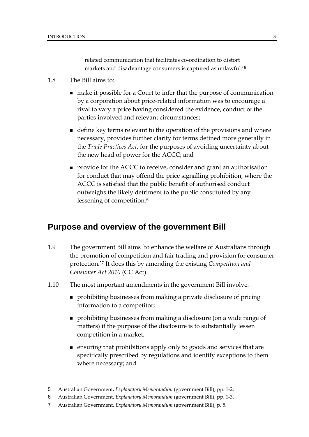related communication that facilitates co-ordination to distort markets and disadvantage consumers is captured as unlawful.'[5](#page-14-0)

- 1.8 The Bill aims to:
	- make it possible for a Court to infer that the purpose of communication by a corporation about price‐related information was to encourage a rival to vary a price having considered the evidence, conduct of the parties involved and relevant circumstances;
	- define key terms relevant to the operation of the provisions and where necessary, provides further clarity for terms defined more generally in the *Trade Practices Act*, for the purposes of avoiding uncertainty about the new head of power for the ACCC; and
	- **PEDE FORM** provide for the ACCC to receive, consider and grant an authorisation for conduct that may offend the price signalling prohibition, where the ACCC is satisfied that the public benefit of authorised conduct outweighs the likely detriment to the public constituted by any lessening of competition.<sup>[6](#page-14-1)</sup>

### **Purpose and overview of the government Bill**

- 1.9 The government Bill aims 'to enhance the welfare of Australians through the promotion of competition and fair trading and provision for consumer protection.'[7](#page-14-2) It does this by amending the existing *Competition and Consumer Act 2010* (CC Act).
- 1.10 The most important amendments in the government Bill involve:
	- **prohibiting businesses from making a private disclosure of pricing** information to a competitor;
	- prohibiting businesses from making a disclosure (on a wide range of matters) if the purpose of the disclosure is to substantially lessen competition in a market;
	- ensuring that prohibitions apply only to goods and services that are specifically prescribed by regulations and identify exceptions to them where necessary; and

<span id="page-14-0"></span><sup>5</sup> Australian Government, *Explanatory Memorandum* (government Bill), pp. 1-2.

<span id="page-14-1"></span><sup>6</sup> Australian Government, *Explanatory Memorandum* (government Bill), pp. 1-3.

<span id="page-14-2"></span><sup>7</sup> Australian Government, *Explanatory Memorandum* (government Bill), p. 5.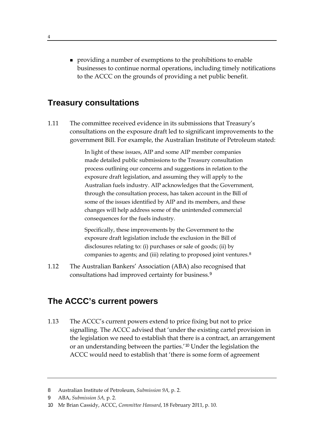**providing a number of exemptions to the prohibitions to enable** businesses to continue normal operations, including timely notifications to the ACCC on the grounds of providing a net public benefit.

### **Treasury consultations**

1.11 The committee received evidence in its submissions that Treasury's consultations on the exposure draft led to significant improvements to the government Bill. For example, the Australian Institute of Petroleum stated:

> In light of these issues, AIP and some AIP member companies made detailed public submissions to the Treasury consultation process outlining our concerns and suggestions in relation to the exposure draft legislation, and assuming they will apply to the Australian fuels industry. AIP acknowledges that the Government, through the consultation process, has taken account in the Bill of some of the issues identified by AIP and its members, and these changes will help address some of the unintended commercial consequences for the fuels industry.

Specifically, these improvements by the Government to the exposure draft legislation include the exclusion in the Bill of disclosures relating to: (i) purchases or sale of goods; (ii) by companies to agents; and (iii) relating to proposed joint ventures.[8](#page-15-0)

1.12 The Australian Bankers' Association (ABA) also recognised that consultations had improved certainty for business.[9](#page-15-1)

### **The ACCC's current powers**

1.13 The ACCC's current powers extend to price fixing but not to price signalling. The ACCC advised that 'under the existing cartel provision in the legislation we need to establish that there is a contract, an arrangement or an understanding between the parties.'[10](#page-15-2) Under the legislation the ACCC would need to establish that 'there is some form of agreement

<span id="page-15-0"></span><sup>8</sup> Australian Institute of Petroleum, *Submission 9A,* p. 2.

<span id="page-15-1"></span><sup>9</sup> ABA, *Submission 5A,* p. 2.

<span id="page-15-2"></span><sup>10</sup> Mr Brian Cassidy, ACCC, *Committee Hansard*, 18 February 2011, p. 10.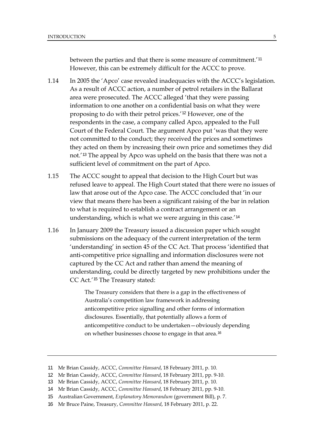between the parties and that there is some measure of commitment.'<sup>11</sup> However, this can be extremely difficult for the ACCC to prove.

- 1.14 In 2005 the 'Apco' case revealed inadequacies with the ACCC's legislation. As a result of ACCC action, a number of petrol retailers in the Ballarat area were prosecuted. The ACCC alleged 'that they were passing information to one another on a confidential basis on what they were proposing to do with their petrol prices.'[12](#page-16-0) However, one of the respondents in the case, a company called Apco, appealed to the Full Court of the Federal Court. The argument Apco put 'was that they were not committed to the conduct; they received the prices and sometimes they acted on them by increasing their own price and sometimes they did not.'[13](#page-16-1) The appeal by Apco was upheld on the basis that there was not a sufficient level of commitment on the part of Apco.
- 1.15 The ACCC sought to appeal that decision to the High Court but was refused leave to appeal. The High Court stated that there were no issues of law that arose out of the Apco case. The ACCC concluded that 'in our view that means there has been a significant raising of the bar in relation to what is required to establish a contract arrangement or an understanding, which is what we were arguing in this case.'[14](#page-16-2)
- 1.16 In January 2009 the Treasury issued a discussion paper which sought submissions on the adequacy of the current interpretation of the term 'understanding' in section 45 of the CC Act. That process 'identified that anti-competitive price signalling and information disclosures were not captured by the CC Act and rather than amend the meaning of understanding, could be directly targeted by new prohibitions under the CC Act.'[15](#page-16-3) The Treasury stated:

The Treasury considers that there is a gap in the effectiveness of Australia's competition law framework in addressing anticompetitive price signalling and other forms of information disclosures. Essentially, that potentially allows a form of anticompetitive conduct to be undertaken—obviously depending on whether businesses choose to engage in that area.<sup>[16](#page-16-4)</sup>

<sup>11</sup> Mr Brian Cassidy, ACCC, *Committee Hansard*, 18 February 2011, p. 10.

<span id="page-16-0"></span><sup>12</sup> Mr Brian Cassidy, ACCC, *Committee Hansard*, 18 February 2011, pp. 9-10.

<span id="page-16-1"></span><sup>13</sup> Mr Brian Cassidy, ACCC, *Committee Hansard*, 18 February 2011, p. 10.

<span id="page-16-2"></span><sup>14</sup> Mr Brian Cassidy, ACCC, *Committee Hansard*, 18 February 2011, pp. 9-10.

<span id="page-16-3"></span><sup>15</sup> Australian Government, *Explanatory Memorandum* (government Bill), p. 7.

<span id="page-16-4"></span><sup>16</sup> Mr Bruce Paine, Treasury, *Committee Hansard*, 18 February 2011, p. 22.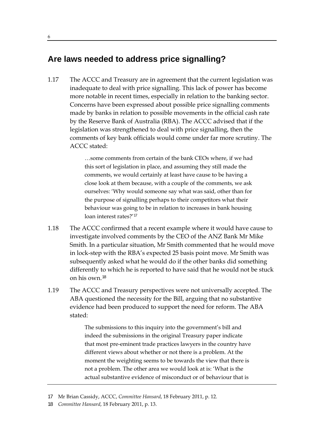### **Are laws needed to address price signalling?**

1.17 The ACCC and Treasury are in agreement that the current legislation was inadequate to deal with price signalling. This lack of power has become more notable in recent times, especially in relation to the banking sector. Concerns have been expressed about possible price signalling comments made by banks in relation to possible movements in the official cash rate by the Reserve Bank of Australia (RBA). The ACCC advised that if the legislation was strengthened to deal with price signalling, then the comments of key bank officials would come under far more scrutiny. The ACCC stated:

> …some comments from certain of the bank CEOs where, if we had this sort of legislation in place, and assuming they still made the comments, we would certainly at least have cause to be having a close look at them because, with a couple of the comments, we ask ourselves: 'Why would someone say what was said, other than for the purpose of signalling perhaps to their competitors what their behaviour was going to be in relation to increases in bank housing loan interest rates?'[17](#page-17-0)

- 1.18 The ACCC confirmed that a recent example where it would have cause to investigate involved comments by the CEO of the ANZ Bank Mr Mike Smith. In a particular situation, Mr Smith commented that he would move in lock-step with the RBA's expected 25 basis point move. Mr Smith was subsequently asked what he would do if the other banks did something differently to which he is reported to have said that he would not be stuck on his own.[18](#page-17-1)
- 1.19 The ACCC and Treasury perspectives were not universally accepted. The ABA questioned the necessity for the Bill, arguing that no substantive evidence had been produced to support the need for reform. The ABA stated:

The submissions to this inquiry into the government's bill and indeed the submissions in the original Treasury paper indicate that most pre-eminent trade practices lawyers in the country have different views about whether or not there is a problem. At the moment the weighting seems to be towards the view that there is not a problem. The other area we would look at is: 'What is the actual substantive evidence of misconduct or of behaviour that is

<span id="page-17-0"></span><sup>17</sup> Mr Brian Cassidy, ACCC, *Committee Hansard*, 18 February 2011, p. 12.

<span id="page-17-1"></span><sup>18</sup> *Committee Hansard*, 18 February 2011, p. 13.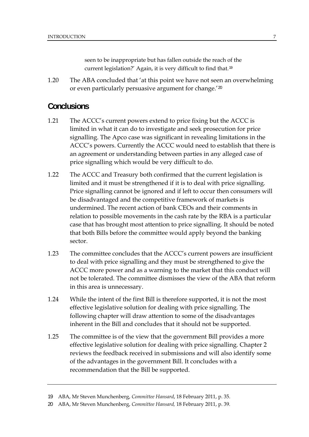seen to be inappropriate but has fallen outside the reach of the current legislation?' Again, it is very difficult to find that.[19](#page-18-0)

1.20 The ABA concluded that 'at this point we have not seen an overwhelming or even particularly persuasive argument for change.'[20](#page-18-1)

### **Conclusions**

- 1.21 The ACCC's current powers extend to price fixing but the ACCC is limited in what it can do to investigate and seek prosecution for price signalling. The Apco case was significant in revealing limitations in the ACCC's powers. Currently the ACCC would need to establish that there is an agreement or understanding between parties in any alleged case of price signalling which would be very difficult to do.
- 1.22 The ACCC and Treasury both confirmed that the current legislation is limited and it must be strengthened if it is to deal with price signalling. Price signalling cannot be ignored and if left to occur then consumers will be disadvantaged and the competitive framework of markets is undermined. The recent action of bank CEOs and their comments in relation to possible movements in the cash rate by the RBA is a particular case that has brought most attention to price signalling. It should be noted that both Bills before the committee would apply beyond the banking sector.
- 1.23 The committee concludes that the ACCC's current powers are insufficient to deal with price signalling and they must be strengthened to give the ACCC more power and as a warning to the market that this conduct will not be tolerated. The committee dismisses the view of the ABA that reform in this area is unnecessary.
- 1.24 While the intent of the first Bill is therefore supported, it is not the most effective legislative solution for dealing with price signalling. The following chapter will draw attention to some of the disadvantages inherent in the Bill and concludes that it should not be supported.
- 1.25 The committee is of the view that the government Bill provides a more effective legislative solution for dealing with price signalling. Chapter 2 reviews the feedback received in submissions and will also identify some of the advantages in the government Bill. It concludes with a recommendation that the Bill be supported.

<span id="page-18-0"></span><sup>19</sup> ABA, Mr Steven Munchenberg, *Committee Hansard*, 18 February 2011, p. 35.

<span id="page-18-1"></span><sup>20</sup> ABA, Mr Steven Munchenberg, *Committee Hansard,* 18 February 2011, p. 39.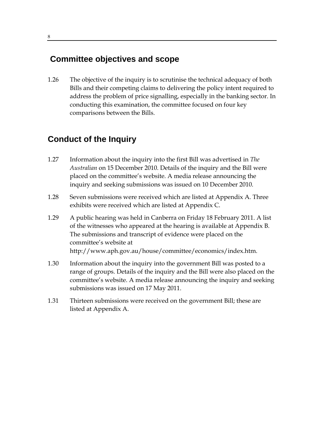### **Committee objectives and scope**

1.26 The objective of the inquiry is to scrutinise the technical adequacy of both Bills and their competing claims to delivering the policy intent required to address the problem of price signalling, especially in the banking sector. In conducting this examination, the committee focused on four key comparisons between the Bills.

### **Conduct of the Inquiry**

- 1.27 Information about the inquiry into the first Bill was advertised in *The Australian* on 15 December 2010. Details of the inquiry and the Bill were placed on the committee's website. A media release announcing the inquiry and seeking submissions was issued on 10 December 2010.
- 1.28 Seven submissions were received which are listed at Appendix A. Three exhibits were received which are listed at Appendix C.
- 1.29 A public hearing was held in Canberra on Friday 18 February 2011. A list of the witnesses who appeared at the hearing is available at Appendix B. The submissions and transcript of evidence were placed on the committee's website at http://www.aph.gov.au/house/committee/economics/index.htm.
- 1.30 Information about the inquiry into the government Bill was posted to a range of groups. Details of the inquiry and the Bill were also placed on the committee's website. A media release announcing the inquiry and seeking submissions was issued on 17 May 2011.
- 1.31 Thirteen submissions were received on the government Bill; these are listed at Appendix A.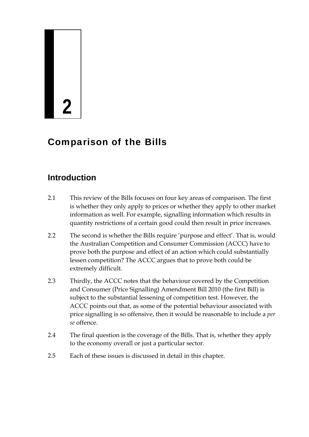### **2**

### Comparison of the Bills

### **Introduction**

- 2.1 This review of the Bills focuses on four key areas of comparison. The first is whether they only apply to prices or whether they apply to other market information as well. For example, signalling information which results in quantity restrictions of a certain good could then result in price increases.
- 2.2 The second is whether the Bills require 'purpose and effect'. That is, would the Australian Competition and Consumer Commission (ACCC) have to prove both the purpose and effect of an action which could substantially lessen competition? The ACCC argues that to prove both could be extremely difficult.
- 2.3 Thirdly, the ACCC notes that the behaviour covered by the Competition and Consumer (Price Signalling) Amendment Bill 2010 (the first Bill) is subject to the substantial lessening of competition test. However, the ACCC points out that, as some of the potential behaviour associated with price signalling is so offensive, then it would be reasonable to include a *per se* offence.
- 2.4 The final question is the coverage of the Bills. That is, whether they apply to the economy overall or just a particular sector.
- 2.5 Each of these issues is discussed in detail in this chapter.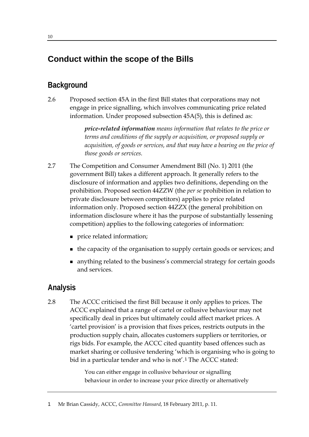### **Conduct within the scope of the Bills**

### **Background**

2.6 Proposed section 45A in the first Bill states that corporations may not engage in price signalling, which involves communicating price related information. Under proposed subsection 45A(5), this is defined as:

> *price-related information means information that relates to the price or terms and conditions of the supply or acquisition, or proposed supply or acquisition, of goods or services, and that may have a bearing on the price of those goods or services.*

- 2.7 The Competition and Consumer Amendment Bill (No. 1) 2011 (the government Bill) takes a different approach. It generally refers to the disclosure of information and applies two definitions, depending on the prohibition. Proposed section 44ZZW (the *per se* prohibition in relation to private disclosure between competitors) applies to price related information only. Proposed section 44ZZX (the general prohibition on information disclosure where it has the purpose of substantially lessening competition) applies to the following categories of information:
	- **price related information;**
	- the capacity of the organisation to supply certain goods or services; and
	- anything related to the business's commercial strategy for certain goods and services.

### **Analysis**

2.8 The ACCC criticised the first Bill because it only applies to prices. The ACCC explained that a range of cartel or collusive behaviour may not specifically deal in prices but ultimately could affect market prices. A 'cartel provision' is a provision that fixes prices, restricts outputs in the production supply chain, allocates customers suppliers or territories, or rigs bids. For example, the ACCC cited quantity based offences such as market sharing or collusive tendering 'which is organising who is going to bid in a particular tender and who is not'.<sup>[1](#page-21-0)</sup> The ACCC stated:

> You can either engage in collusive behaviour or signalling behaviour in order to increase your price directly or alternatively

<span id="page-21-0"></span>1 Mr Brian Cassidy, ACCC, *Committee Hansard*, 18 February 2011, p. 11.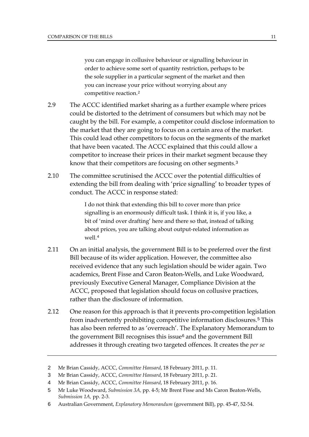you can engage in collusive behaviour or signalling behaviour in order to achieve some sort of quantity restriction, perhaps to be the sole supplier in a particular segment of the market and then you can increase your price without worrying about any competitive reaction.[2](#page-22-0)

- 2.9 The ACCC identified market sharing as a further example where prices could be distorted to the detriment of consumers but which may not be caught by the bill. For example, a competitor could disclose information to the market that they are going to focus on a certain area of the market. This could lead other competitors to focus on the segments of the market that have been vacated. The ACCC explained that this could allow a competitor to increase their prices in their market segment because they know that their competitors are focusing on other segments.<sup>[3](#page-22-1)</sup>
- 2.10 The committee scrutinised the ACCC over the potential difficulties of extending the bill from dealing with 'price signalling' to broader types of conduct. The ACCC in response stated:

I do not think that extending this bill to cover more than price signalling is an enormously difficult task. I think it is, if you like, a bit of 'mind over drafting' here and there so that, instead of talking about prices, you are talking about output-related information as well.[4](#page-22-2)

- 2.11 On an initial analysis, the government Bill is to be preferred over the first Bill because of its wider application. However, the committee also received evidence that any such legislation should be wider again. Two academics, Brent Fisse and Caron Beaton-Wells, and Luke Woodward, previously Executive General Manager, Compliance Division at the ACCC, proposed that legislation should focus on collusive practices, rather than the disclosure of information.
- 2.12 One reason for this approach is that it prevents pro-competition legislation from inadvertently prohibiting competitive information disclosures.[5](#page-22-3) This has also been referred to as 'overreach'. The Explanatory Memorandum to the government Bill recognises this issue $6$  and the government Bill addresses it through creating two targeted offences. It creates the *per se*

<span id="page-22-0"></span><sup>2</sup> Mr Brian Cassidy, ACCC, *Committee Hansard*, 18 February 2011, p. 11.

<span id="page-22-1"></span><sup>3</sup> Mr Brian Cassidy, ACCC, *Committee Hansard*, 18 February 2011, p. 21.

<span id="page-22-2"></span><sup>4</sup> Mr Brian Cassidy, ACCC, *Committee Hansard*, 18 February 2011, p. 16.

<span id="page-22-3"></span><sup>5</sup> Mr Luke Woodward, *Submission 3A,* pp. 4-5; Mr Brent Fisse and Ms Caron Beaton-Wells, *Submission 1A,* pp. 2-3.

<span id="page-22-4"></span><sup>6</sup> Australian Government, *Explanatory Memorandum* (government Bill), pp. 45-47, 52-54.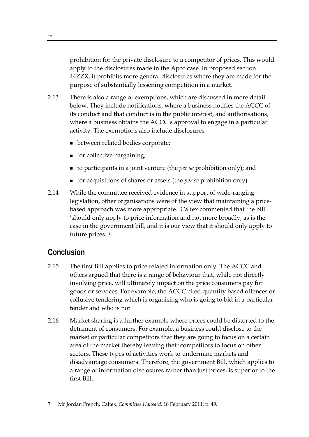prohibition for the private disclosure to a competitor of prices. This would apply to the disclosures made in the Apco case. In proposed section 44ZZX, it prohibits more general disclosures where they are made for the purpose of substantially lessening competition in a market.

- 2.13 There is also a range of exemptions, which are discussed in more detail below. They include notifications, where a business notifies the ACCC of its conduct and that conduct is in the public interest, and authorisations, where a business obtains the ACCC's approval to engage in a particular activity. The exemptions also include disclosures:
	- between related bodies corporate;
	- **for collective bargaining;**
	- to participants in a joint venture (the *per se* prohibition only); and
	- for acquisitions of shares or assets (the *per se* prohibition only).
- 2.14 While the committee received evidence in support of wide-ranging legislation, other organisations were of the view that maintaining a pricebased approach was more appropriate. Caltex commented that the bill 'should only apply to price information and not more broadly, as is the case in the government bill, and it is our view that it should only apply to future prices.'[7](#page-23-0)

### **Conclusion**

- 2.15 The first Bill applies to price related information only. The ACCC and others argued that there is a range of behaviour that, while not directly involving price, will ultimately impact on the price consumers pay for goods or services. For example, the ACCC cited quantity based offences or collusive tendering which is organising who is going to bid in a particular tender and who is not.
- 2.16 Market sharing is a further example where prices could be distorted to the detriment of consumers. For example, a business could disclose to the market or particular competitors that they are going to focus on a certain area of the market thereby leaving their competitors to focus on other sectors. These types of activities work to undermine markets and disadvantage consumers. Therefore, the government Bill, which applies to a range of information disclosures rather than just prices, is superior to the first Bill.

<span id="page-23-0"></span><sup>7</sup> Mr Jordan French, Caltex, *Committee Hansard*, 18 February 2011, p. 49.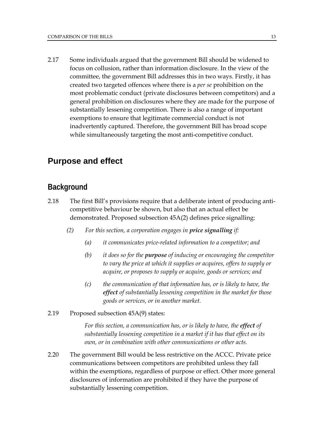2.17 Some individuals argued that the government Bill should be widened to focus on collusion, rather than information disclosure. In the view of the committee, the government Bill addresses this in two ways. Firstly, it has created two targeted offences where there is a *per se* prohibition on the most problematic conduct (private disclosures between competitors) and a general prohibition on disclosures where they are made for the purpose of substantially lessening competition. There is also a range of important exemptions to ensure that legitimate commercial conduct is not inadvertently captured. Therefore, the government Bill has broad scope while simultaneously targeting the most anti-competitive conduct.

### **Purpose and effect**

### **Background**

- 2.18 The first Bill's provisions require that a deliberate intent of producing anticompetitive behaviour be shown, but also that an actual effect be demonstrated. Proposed subsection 45A(2) defines price signalling:
	- *(2) For this section, a corporation engages in price signalling if:* 
		- *(a) it communicates price-related information to a competitor; and*
		- *(b) it does so for the purpose of inducing or encouraging the competitor to vary the price at which it supplies or acquires, offers to supply or acquire, or proposes to supply or acquire, goods or services; and*
		- *(c) the communication of that information has, or is likely to have, the effect of substantially lessening competition in the market for those goods or services, or in another market.*
- 2.19 Proposed subsection 45A(9) states:

 *For this section, a communication has, or is likely to have, the effect of substantially lessening competition in a market if it has that effect on its own, or in combination with other communications or other acts.* 

2.20 The government Bill would be less restrictive on the ACCC. Private price communications between competitors are prohibited unless they fall within the exemptions, regardless of purpose or effect. Other more general disclosures of information are prohibited if they have the purpose of substantially lessening competition.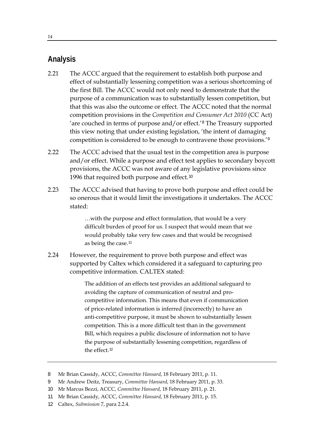### **Analysis**

- 2.21 The ACCC argued that the requirement to establish both purpose and effect of substantially lessening competition was a serious shortcoming of the first Bill. The ACCC would not only need to demonstrate that the purpose of a communication was to substantially lessen competition, but that this was also the outcome or effect. The ACCC noted that the normal competition provisions in the *Competition and Consumer Act 2010* (CC Act) 'are couched in terms of purpose and/or effect.'[8](#page-25-0) The Treasury supported this view noting that under existing legislation, 'the intent of damaging competition is considered to be enough to contravene those provisions.'[9](#page-25-1)
- 2.22 The ACCC advised that the usual test in the competition area is purpose and/or effect. While a purpose and effect test applies to secondary boycott provisions, the ACCC was not aware of any legislative provisions since 1996 that required both purpose and effect.<sup>[10](#page-25-2)</sup>
- 2.23 The ACCC advised that having to prove both purpose and effect could be so onerous that it would limit the investigations it undertakes. The ACCC stated:

…with the purpose and effect formulation, that would be a very difficult burden of proof for us. I suspect that would mean that we would probably take very few cases and that would be recognised as being the case.[11](#page-25-3)

2.24 However, the requirement to prove both purpose and effect was supported by Caltex which considered it a safeguard to capturing pro competitive information. CALTEX stated:

> The addition of an effects test provides an additional safeguard to avoiding the capture of communication of neutral and procompetitive information. This means that even if communication of price-related information is inferred (incorrectly) to have an anti-competitive purpose, it must be shown to substantially lessen competition. This is a more difficult test than in the government Bill, which requires a public disclosure of information not to have the purpose of substantially lessening competition, regardless of the effect<sup>[12](#page-25-4)</sup>

<span id="page-25-4"></span>12 Caltex, *Submission* 7, para 2.2.4.

<span id="page-25-0"></span><sup>8</sup> Mr Brian Cassidy, ACCC, *Committee Hansard*, 18 February 2011, p. 11.

<sup>9</sup> Mr Andrew Deitz, Treasury, *Committee Hansard*, 18 February 2011, p. 33.

<span id="page-25-2"></span><span id="page-25-1"></span><sup>10</sup> Mr Marcus Bezzi, ACCC, *Committee Hansard*, 18 February 2011, p. 21.

<span id="page-25-3"></span><sup>11</sup> Mr Brian Cassidy, ACCC, *Committee Hansard*, 18 February 2011, p. 15.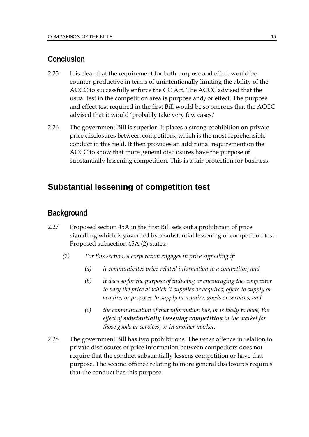### **Conclusion**

- 2.25 It is clear that the requirement for both purpose and effect would be counter-productive in terms of unintentionally limiting the ability of the ACCC to successfully enforce the CC Act. The ACCC advised that the usual test in the competition area is purpose and/or effect. The purpose and effect test required in the first Bill would be so onerous that the ACCC advised that it would 'probably take very few cases.'
- 2.26 The government Bill is superior. It places a strong prohibition on private price disclosures between competitors, which is the most reprehensible conduct in this field. It then provides an additional requirement on the ACCC to show that more general disclosures have the purpose of substantially lessening competition. This is a fair protection for business.

### **Substantial lessening of competition test**

### **Background**

- 2.27 Proposed section 45A in the first Bill sets out a prohibition of price signalling which is governed by a substantial lessening of competition test. Proposed subsection 45A (2) states:
	- *(2) For this section, a corporation engages in price signalling if:* 
		- *(a) it communicates price-related information to a competitor; and*
		- *(b) it does so for the purpose of inducing or encouraging the competitor to vary the price at which it supplies or acquires, offers to supply or acquire, or proposes to supply or acquire, goods or services; and*
		- *(c) the communication of that information has, or is likely to have, the effect of substantially lessening competition in the market for those goods or services, or in another market.*
- 2.28 The government Bill has two prohibitions. The *per se* offence in relation to private disclosures of price information between competitors does not require that the conduct substantially lessens competition or have that purpose. The second offence relating to more general disclosures requires that the conduct has this purpose.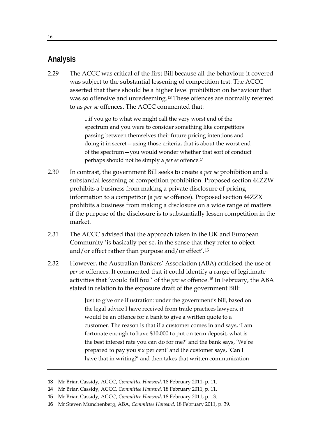### **Analysis**

2.29 The ACCC was critical of the first Bill because all the behaviour it covered was subject to the substantial lessening of competition test. The ACCC asserted that there should be a higher level prohibition on behaviour that was so offensive and unredeeming.<sup>[13](#page-27-0)</sup> These offences are normally referred to as *per se* offences. The ACCC commented that:

> ...if you go to what we might call the very worst end of the spectrum and you were to consider something like competitors passing between themselves their future pricing intentions and doing it in secret—using those criteria, that is about the worst end of the spectrum—you would wonder whether that sort of conduct perhaps should not be simply a *per se* offence.[14](#page-27-1)

- 2.30 In contrast, the government Bill seeks to create a *per se* prohibition and a substantial lessening of competition prohibition. Proposed section 44ZZW prohibits a business from making a private disclosure of pricing information to a competitor (a *per se* offence). Proposed section 44ZZX prohibits a business from making a disclosure on a wide range of matters if the purpose of the disclosure is to substantially lessen competition in the market.
- 2.31 The ACCC advised that the approach taken in the UK and European Community 'is basically per se, in the sense that they refer to object and/or effect rather than purpose and/or effect'.[15](#page-27-2)
- 2.32 However, the Australian Bankers' Association (ABA) criticised the use of *per se* offences. It commented that it could identify a range of legitimate activities that 'would fall foul' of the *per se* offence.[16](#page-27-3) In February, the ABA stated in relation to the exposure draft of the government Bill:

Just to give one illustration: under the government's bill, based on the legal advice I have received from trade practices lawyers, it would be an offence for a bank to give a written quote to a customer. The reason is that if a customer comes in and says, 'I am fortunate enough to have \$10,000 to put on term deposit, what is the best interest rate you can do for me?' and the bank says, 'We're prepared to pay you six per cent' and the customer says, 'Can I have that in writing?' and then takes that written communication

<span id="page-27-3"></span>16 Mr Steven Munchenberg, ABA, *Committee Hansard*, 18 February 2011, p. 39.

<span id="page-27-0"></span><sup>13</sup> Mr Brian Cassidy, ACCC, *Committee Hansard*, 18 February 2011, p. 11.

<span id="page-27-1"></span><sup>14</sup> Mr Brian Cassidy, ACCC, *Committee Hansard*, 18 February 2011, p. 11.

<span id="page-27-2"></span><sup>15</sup> Mr Brian Cassidy, ACCC, *Committee Hansard*, 18 February 2011, p. 13.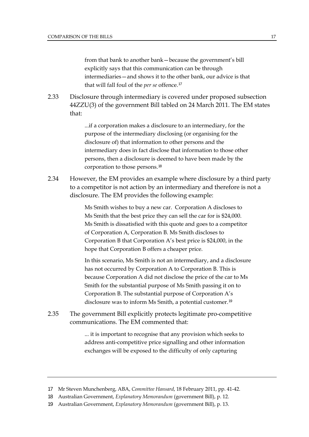from that bank to another bank—because the government's bill explicitly says that this communication can be through intermediaries—and shows it to the other bank, our advice is that that will fall foul of the *per se* offence.[17](#page-28-0)

2.33 Disclosure through intermediary is covered under proposed subsection 44ZZU(3) of the government Bill tabled on 24 March 2011. The EM states that:

> ...if a corporation makes a disclosure to an intermediary, for the purpose of the intermediary disclosing (or organising for the disclosure of) that information to other persons and the intermediary does in fact disclose that information to those other persons, then a disclosure is deemed to have been made by the corporation to those persons.[18](#page-28-1)

2.34 However, the EM provides an example where disclosure by a third party to a competitor is not action by an intermediary and therefore is not a disclosure. The EM provides the following example:

> Ms Smith wishes to buy a new car. Corporation A discloses to Ms Smith that the best price they can sell the car for is \$24,000. Ms Smith is dissatisfied with this quote and goes to a competitor of Corporation A, Corporation B. Ms Smith discloses to Corporation B that Corporation A's best price is \$24,000, in the hope that Corporation B offers a cheaper price.

In this scenario, Ms Smith is not an intermediary, and a disclosure has not occurred by Corporation A to Corporation B. This is because Corporation A did not disclose the price of the car to Ms Smith for the substantial purpose of Ms Smith passing it on to Corporation B. The substantial purpose of Corporation A's disclosure was to inform Ms Smith, a potential customer.[19](#page-28-2)

2.35 The government Bill explicitly protects legitimate pro-competitive communications. The EM commented that:

> ... it is important to recognise that any provision which seeks to address anti-competitive price signalling and other information exchanges will be exposed to the difficulty of only capturing

<span id="page-28-0"></span><sup>17</sup> Mr Steven Munchenberg, ABA, *Committee Hansard*, 18 February 2011, pp. 41-42.

<span id="page-28-1"></span><sup>18</sup> Australian Government, *Explanatory Memorandum* (government Bill), p. 12.

<span id="page-28-2"></span><sup>19</sup> Australian Government, *Explanatory Memorandum* (government Bill), p. 13.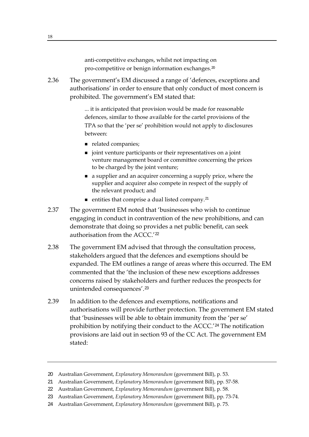anti-competitive exchanges, whilst not impacting on pro-competitive or benign information exchanges.<sup>[20](#page-29-0)</sup>

2.36 The government's EM discussed a range of 'defences, exceptions and authorisations' in order to ensure that only conduct of most concern is prohibited. The government's EM stated that:

> ... it is anticipated that provision would be made for reasonable defences, similar to those available for the cartel provisions of the TPA so that the 'per se' prohibition would not apply to disclosures between:

- related companies;
- $\blacksquare$  joint venture participants or their representatives on a joint venture management board or committee concerning the prices to be charged by the joint venture;
- a supplier and an acquirer concerning a supply price, where the supplier and acquirer also compete in respect of the supply of the relevant product; and
- **entities that comprise a dual listed company.**<sup>[21](#page-29-1)</sup>
- 2.37 The government EM noted that 'businesses who wish to continue engaging in conduct in contravention of the new prohibitions, and can demonstrate that doing so provides a net public benefit, can seek authorisation from the ACCC.'[22](#page-29-2)
- 2.38 The government EM advised that through the consultation process, stakeholders argued that the defences and exemptions should be expanded. The EM outlines a range of areas where this occurred. The EM commented that the 'the inclusion of these new exceptions addresses concerns raised by stakeholders and further reduces the prospects for unintended consequences'.[23](#page-29-3)
- 2.39 In addition to the defences and exemptions, notifications and authorisations will provide further protection. The government EM stated that 'businesses will be able to obtain immunity from the 'per se' prohibition by notifying their conduct to the ACCC.'[24](#page-29-4) The notification provisions are laid out in section 93 of the CC Act. The government EM stated:

<sup>20</sup> Australian Government, *Explanatory Memorandum* (government Bill), p. 53.

<span id="page-29-2"></span><span id="page-29-1"></span><span id="page-29-0"></span><sup>21</sup> Australian Government, *Explanatory Memorandum* (government Bill), pp. 57-58.

<sup>22</sup> Australian Government, *Explanatory Memorandum* (government Bill), p. 58.

<span id="page-29-3"></span><sup>23</sup> Australian Government, *Explanatory Memorandum* (government Bill), pp. 73-74.

<span id="page-29-4"></span><sup>24</sup> Australian Government, *Explanatory Memorandum* (government Bill), p. 75.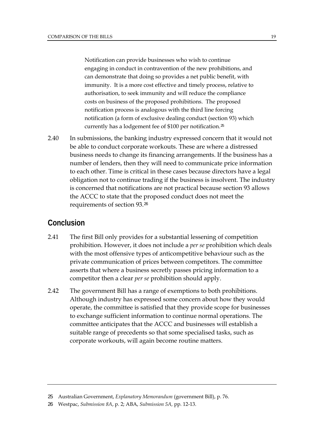Notification can provide businesses who wish to continue engaging in conduct in contravention of the new prohibitions, and can demonstrate that doing so provides a net public benefit, with immunity. It is a more cost effective and timely process, relative to authorisation, to seek immunity and will reduce the compliance costs on business of the proposed prohibitions. The proposed notification process is analogous with the third line forcing notification (a form of exclusive dealing conduct (section 93) which currently has a lodgement fee of \$100 per notification.[25](#page-30-0)

2.40 In submissions, the banking industry expressed concern that it would not be able to conduct corporate workouts. These are where a distressed business needs to change its financing arrangements. If the business has a number of lenders, then they will need to communicate price information to each other. Time is critical in these cases because directors have a legal obligation not to continue trading if the business is insolvent. The industry is concerned that notifications are not practical because section 93 allows the ACCC to state that the proposed conduct does not meet the requirements of section 93.[26](#page-30-1)

### **Conclusion**

- 2.41 The first Bill only provides for a substantial lessening of competition prohibition. However, it does not include a *per se* prohibition which deals with the most offensive types of anticompetitive behaviour such as the private communication of prices between competitors. The committee asserts that where a business secretly passes pricing information to a competitor then a clear *per se* prohibition should apply.
- 2.42 The government Bill has a range of exemptions to both prohibitions. Although industry has expressed some concern about how they would operate, the committee is satisfied that they provide scope for businesses to exchange sufficient information to continue normal operations. The committee anticipates that the ACCC and businesses will establish a suitable range of precedents so that some specialised tasks, such as corporate workouts, will again become routine matters.

<span id="page-30-0"></span><sup>25</sup> Australian Government, *Explanatory Memorandum* (government Bill), p. 76.

<span id="page-30-1"></span><sup>26</sup> Westpac, *Submission 8A*, p. 2; ABA, *Submission 5A,* pp. 12-13.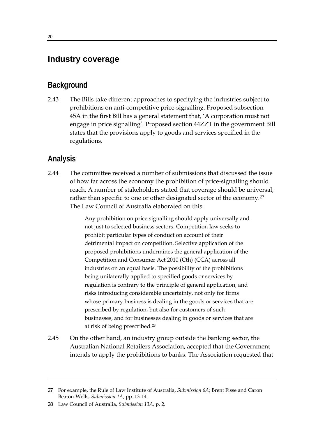### **Industry coverage**

### **Background**

2.43 The Bills take different approaches to specifying the industries subject to prohibitions on anti-competitive price-signalling. Proposed subsection 45A in the first Bill has a general statement that, 'A corporation must not engage in price signalling'. Proposed section 44ZZT in the government Bill states that the provisions apply to goods and services specified in the regulations.

### **Analysis**

2.44 The committee received a number of submissions that discussed the issue of how far across the economy the prohibition of price-signalling should reach. A number of stakeholders stated that coverage should be universal, rather than specific to one or other designated sector of the economy.<sup>[27](#page-31-0)</sup> The Law Council of Australia elaborated on this:

> Any prohibition on price signalling should apply universally and not just to selected business sectors. Competition law seeks to prohibit particular types of conduct on account of their detrimental impact on competition. Selective application of the proposed prohibitions undermines the general application of the Competition and Consumer Act 2010 (Cth) (CCA) across all industries on an equal basis. The possibility of the prohibitions being unilaterally applied to specified goods or services by regulation is contrary to the principle of general application, and risks introducing considerable uncertainty, not only for firms whose primary business is dealing in the goods or services that are prescribed by regulation, but also for customers of such businesses, and for businesses dealing in goods or services that are at risk of being prescribed.[28](#page-31-1)

2.45 On the other hand, an industry group outside the banking sector, the Australian National Retailers Association, accepted that the Government intends to apply the prohibitions to banks. The Association requested that

<span id="page-31-0"></span><sup>27</sup> For example, the Rule of Law Institute of Australia, *Submission 6A*; Brent Fisse and Caron Beaton-Wells, *Submission 1A*, pp. 13-14.

<span id="page-31-1"></span><sup>28</sup> Law Council of Australia, *Submission 13A,* p. 2.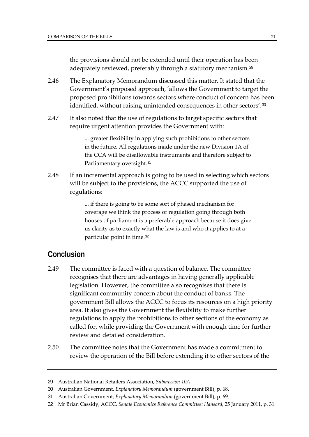the provisions should not be extended until their operation has been adequately reviewed, preferably through a statutory mechanism.<sup>29</sup>

- 2.46 The Explanatory Memorandum discussed this matter. It stated that the Government's proposed approach, 'allows the Government to target the proposed prohibitions towards sectors where conduct of concern has been identified, without raising unintended consequences in other sectors'.[30](#page-32-0)
- 2.47 It also noted that the use of regulations to target specific sectors that require urgent attention provides the Government with:

... greater flexibility in applying such prohibitions to other sectors in the future. All regulations made under the new Division 1A of the CCA will be disallowable instruments and therefore subject to Parliamentary oversight.<sup>[31](#page-32-1)</sup>

2.48 If an incremental approach is going to be used in selecting which sectors will be subject to the provisions, the ACCC supported the use of regulations:

> ... if there is going to be some sort of phased mechanism for coverage we think the process of regulation going through both houses of parliament is a preferable approach because it does give us clarity as to exactly what the law is and who it applies to at a particular point in time.[32](#page-32-2)

### **Conclusion**

- 2.49 The committee is faced with a question of balance. The committee recognises that there are advantages in having generally applicable legislation. However, the committee also recognises that there is significant community concern about the conduct of banks. The government Bill allows the ACCC to focus its resources on a high priority area. It also gives the Government the flexibility to make further regulations to apply the prohibitions to other sections of the economy as called for, while providing the Government with enough time for further review and detailed consideration.
- 2.50 The committee notes that the Government has made a commitment to review the operation of the Bill before extending it to other sectors of the

<sup>29</sup> Australian National Retailers Association, *Submission 10A*.

<span id="page-32-0"></span><sup>30</sup> Australian Government, *Explanatory Memorandum* (government Bill), p. 68.

<span id="page-32-1"></span><sup>31</sup> Australian Government, *Explanatory Memorandum* (government Bill), p. 69.

<span id="page-32-2"></span><sup>32</sup> Mr Brian Cassidy, ACCC, *Senate Economics Reference Committee: Hansard*, 25 January 2011, p. 31.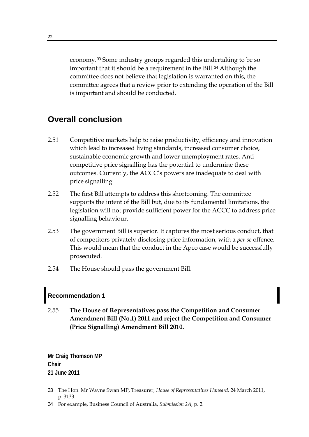economy.<sup>33</sup> Some industry groups regarded this undertaking to be so important that it should be a requirement in the Bill.<sup>34</sup> Although the committee does not believe that legislation is warranted on this, the committee agrees that a review prior to extending the operation of the Bill is important and should be conducted.

### **Overall conclusion**

- 2.51 Competitive markets help to raise productivity, efficiency and innovation which lead to increased living standards, increased consumer choice, sustainable economic growth and lower unemployment rates. Anticompetitive price signalling has the potential to undermine these outcomes. Currently, the ACCC's powers are inadequate to deal with price signalling.
- 2.52 The first Bill attempts to address this shortcoming. The committee supports the intent of the Bill but, due to its fundamental limitations, the legislation will not provide sufficient power for the ACCC to address price signalling behaviour.
- 2.53 The government Bill is superior. It captures the most serious conduct, that of competitors privately disclosing price information, with a *per se* offence. This would mean that the conduct in the Apco case would be successfully prosecuted.
- 2.54 The House should pass the government Bill.

### **Recommendation 1**

2.55 **The House of Representatives pass the Competition and Consumer Amendment Bill (No.1) 2011 and reject the Competition and Consumer (Price Signalling) Amendment Bill 2010.** 

**Mr Craig Thomson MP Chair 21 June 2011** 

- 33 The Hon. Mr Wayne Swan MP, Treasurer, *House of Representatives Hansard,* 24 March 2011, p. 3133.
- 34 For example, Business Council of Australia, *Submission 2A,* p. 2.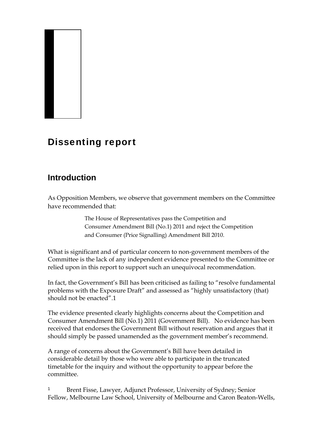### Dissenting report

### **Introduction**

As Opposition Members, we observe that government members on the Committee have recommended that:

> The House of Representatives pass the Competition and Consumer Amendment Bill (No.1) 2011 and reject the Competition and Consumer (Price Signalling) Amendment Bill 2010.

What is significant and of particular concern to non-government members of the Committee is the lack of any independent evidence presented to the Committee or relied upon in this report to support such an unequivocal recommendation.

In fact, the Government's Bill has been criticised as failing to "resolve fundamental problems with the Exposure Draft" and assessed as "highly unsatisfactory (that) should not be enacted".1

The evidence presented clearly highlights concerns about the Competition and Consumer Amendment Bill (No.1) 2011 (Government Bill). No evidence has been received that endorses the Government Bill without reservation and argues that it should simply be passed unamended as the government member's recommend.

A range of concerns about the Government's Bill have been detailed in considerable detail by those who were able to participate in the truncated timetable for the inquiry and without the opportunity to appear before the committee.

<sup>1</sup> Brent Fisse, Lawyer, Adjunct Professor, University of Sydney; Senior Fellow, Melbourne Law School, University of Melbourne and Caron Beaton-Wells,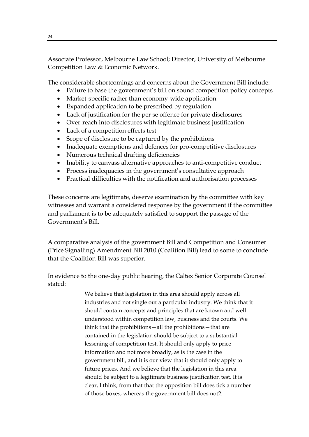Associate Professor, Melbourne Law School; Director, University of Melbourne Competition Law & Economic Network.

The considerable shortcomings and concerns about the Government Bill include:

- Failure to base the government's bill on sound competition policy concepts
- Market-specific rather than economy-wide application
- Expanded application to be prescribed by regulation
- Lack of justification for the per se offence for private disclosures
- Over-reach into disclosures with legitimate business justification
- Lack of a competition effects test
- Scope of disclosure to be captured by the prohibitions
- Inadequate exemptions and defences for pro-competitive disclosures
- Numerous technical drafting deficiencies
- Inability to canvass alternative approaches to anti-competitive conduct
- Process inadequacies in the government's consultative approach
- Practical difficulties with the notification and authorisation processes

These concerns are legitimate, deserve examination by the committee with key witnesses and warrant a considered response by the government if the committee and parliament is to be adequately satisfied to support the passage of the Government's Bill.

A comparative analysis of the government Bill and Competition and Consumer (Price Signalling) Amendment Bill 2010 (Coalition Bill) lead to some to conclude that the Coalition Bill was superior.

In evidence to the one-day public hearing, the Caltex Senior Corporate Counsel stated:

> We believe that legislation in this area should apply across all industries and not single out a particular industry. We think that it should contain concepts and principles that are known and well understood within competition law, business and the courts. We think that the prohibitions—all the prohibitions—that are contained in the legislation should be subject to a substantial lessening of competition test. It should only apply to price information and not more broadly, as is the case in the government bill, and it is our view that it should only apply to future prices. And we believe that the legislation in this area should be subject to a legitimate business justification test. It is clear, I think, from that that the opposition bill does tick a number of those boxes, whereas the government bill does not2.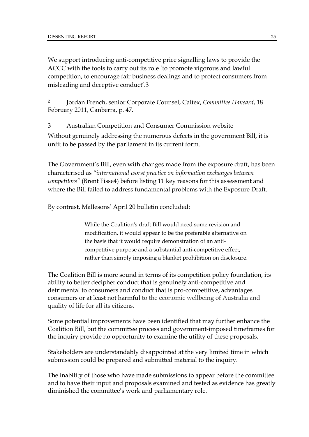We support introducing anti-competitive price signalling laws to provide the ACCC with the tools to carry out its role 'to promote vigorous and lawful competition, to encourage fair business dealings and to protect consumers from misleading and deceptive conduct'.3

<sup>2</sup> Jordan French, senior Corporate Counsel, Caltex, *Committee Hansard*, 18 February 2011, Canberra, p. 47.

3 Australian Competition and Consumer Commission website

Without genuinely addressing the numerous defects in the government Bill, it is unfit to be passed by the parliament in its current form.

The Government's Bill, even with changes made from the exposure draft, has been characterised as *"international worst practice on information exchanges between competitors"* (Brent Fisse4) before listing 11 key reasons for this assessment and where the Bill failed to address fundamental problems with the Exposure Draft.

By contrast, Mallesons' April 20 bulletin concluded:

While the Coalition's draft Bill would need some revision and modification, it would appear to be the preferable alternative on the basis that it would require demonstration of an anticompetitive purpose and a substantial anti-competitive effect, rather than simply imposing a blanket prohibition on disclosure.

The Coalition Bill is more sound in terms of its competition policy foundation, its ability to better decipher conduct that is genuinely anti-competitive and detrimental to consumers and conduct that is pro-competitive, advantages consumers or at least not harmful to the economic wellbeing of Australia and quality of life for all its citizens.

Some potential improvements have been identified that may further enhance the Coalition Bill, but the committee process and government-imposed timeframes for the inquiry provide no opportunity to examine the utility of these proposals.

Stakeholders are understandably disappointed at the very limited time in which submission could be prepared and submitted material to the inquiry.

The inability of those who have made submissions to appear before the committee and to have their input and proposals examined and tested as evidence has greatly diminished the committee's work and parliamentary role.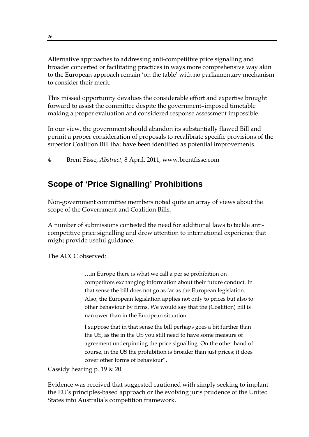Alternative approaches to addressing anti-competitive price signalling and broader concerted or facilitating practices in ways more comprehensive way akin to the European approach remain 'on the table' with no parliamentary mechanism to consider their merit.

This missed opportunity devalues the considerable effort and expertise brought forward to assist the committee despite the government–imposed timetable making a proper evaluation and considered response assessment impossible.

In our view, the government should abandon its substantially flawed Bill and permit a proper consideration of proposals to recalibrate specific provisions of the superior Coalition Bill that have been identified as potential improvements.

4 Brent Fisse, *Abstract*, 8 April, 2011, www.brentfisse.com

### **Scope of 'Price Signalling' Prohibitions**

Non-government committee members noted quite an array of views about the scope of the Government and Coalition Bills.

A number of submissions contested the need for additional laws to tackle anticompetitive price signalling and drew attention to international experience that might provide useful guidance.

The ACCC observed:

…in Europe there is what we call a per se prohibition on competitors exchanging information about their future conduct. In that sense the bill does not go as far as the European legislation. Also, the European legislation applies not only to prices but also to other behaviour by firms. We would say that the (Coalition) bill is narrower than in the European situation.

I suppose that in that sense the bill perhaps goes a bit further than the US, as the in the US you still need to have some measure of agreement underpinning the price signalling. On the other hand of course, in the US the prohibition is broader than just prices; it does cover other forms of behaviour".

Cassidy hearing p. 19 & 20

Evidence was received that suggested cautioned with simply seeking to implant the EU's principles-based approach or the evolving juris prudence of the United States into Australia's competition framework.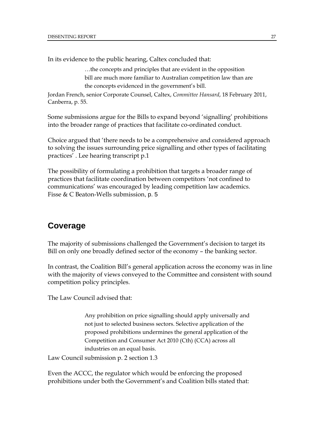In its evidence to the public hearing, Caltex concluded that:

…the concepts and principles that are evident in the opposition bill are much more familiar to Australian competition law than are the concepts evidenced in the government's bill.

Jordan French, senior Corporate Counsel, Caltex, *Committee Hansard*, 18 February 2011, Canberra, p. 55.

Some submissions argue for the Bills to expand beyond 'signalling' prohibitions into the broader range of practices that facilitate co-ordinated conduct.

Choice argued that 'there needs to be a comprehensive and considered approach to solving the issues surrounding price signalling and other types of facilitating practices' . Lee hearing transcript p.1

The possibility of formulating a prohibition that targets a broader range of practices that facilitate coordination between competitors 'not confined to communications' was encouraged by leading competition law academics. Fisse & C Beaton-Wells submission, p. 5

### **Coverage**

The majority of submissions challenged the Government's decision to target its Bill on only one broadly defined sector of the economy – the banking sector.

In contrast, the Coalition Bill's general application across the economy was in line with the majority of views conveyed to the Committee and consistent with sound competition policy principles.

The Law Council advised that:

Any prohibition on price signalling should apply universally and not just to selected business sectors. Selective application of the proposed prohibitions undermines the general application of the Competition and Consumer Act 2010 (Cth) (CCA) across all industries on an equal basis.

Law Council submission p. 2 section 1.3

Even the ACCC, the regulator which would be enforcing the proposed prohibitions under both the Government's and Coalition bills stated that: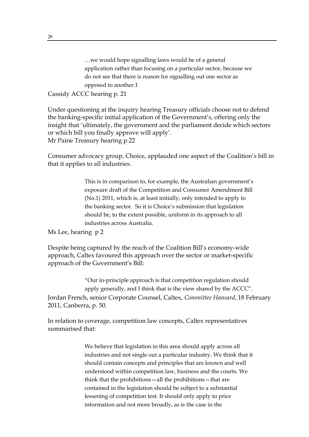…we would hope signalling laws would be of a general application rather than focusing on a particular sector, because we do not see that there is reason for signalling out one sector as opposed to another.1

### Cassidy ACCC hearing p. 21

Under questioning at the inquiry hearing Treasury officials choose not to defend the banking-specific initial application of the Government's, offering only the insight that 'ultimately, the government and the parliament decide which sectors or which bill you finally approve will apply'. Mr Paine Treasury hearing p.22

Consumer advocacy group, Choice, applauded one aspect of the Coalition's bill in that it applies to all industries.

> This is in comparison to, for example, the Australian government's exposure draft of the Competition and Consumer Amendment Bill (No.1) 2011, which is, at least initially, only intended to apply to the banking sector. So it is Choice's submission that legislation should be, to the extent possible, uniform in its approach to all industries across Australia.

Ms Lee, hearing p 2

Despite being captured by the reach of the Coalition Bill's economy-wide approach, Caltex favoured this approach over the sector or market-specific approach of the Government's Bill:

"Our in-principle approach is that competition regulation should apply generally, and I think that is the view shared by the ACCC". Jordan French, senior Corporate Counsel, Caltex, *Committee Hansard*, 18 February 2011, Canberra, p. 50.

In relation to coverage, competition law concepts, Caltex representatives summarised that:

> We believe that legislation in this area should apply across all industries and not single out a particular industry. We think that it should contain concepts and principles that are known and well understood within competition law, business and the courts. We think that the prohibitions—all the prohibitions—that are contained in the legislation should be subject to a substantial lessening of competition test. It should only apply to price information and not more broadly, as is the case in the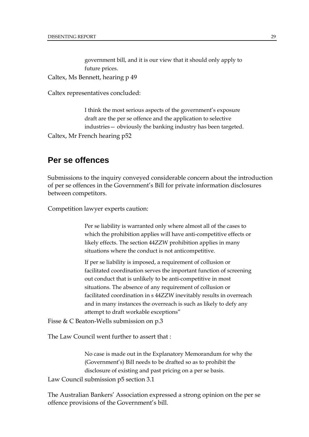government bill, and it is our view that it should only apply to future prices. Caltex, Ms Bennett, hearing p 49

Caltex representatives concluded:

I think the most serious aspects of the government's exposure draft are the per se offence and the application to selective industries— obviously the banking industry has been targeted. Caltex, Mr French hearing p52

### **Per se offences**

Submissions to the inquiry conveyed considerable concern about the introduction of per se offences in the Government's Bill for private information disclosures between competitors.

Competition lawyer experts caution:

Per se liability is warranted only where almost all of the cases to which the prohibition applies will have anti-competitive effects or likely effects. The section 44ZZW prohibition applies in many situations where the conduct is not anticompetitive.

If per se liability is imposed, a requirement of collusion or facilitated coordination serves the important function of screening out conduct that is unlikely to be anti-competitive in most situations. The absence of any requirement of collusion or facilitated coordination in s 44ZZW inevitably results in overreach and in many instances the overreach is such as likely to defy any attempt to draft workable exceptions"

Fisse & C Beaton-Wells submission on p.3

The Law Council went further to assert that :

No case is made out in the Explanatory Memorandum for why the (Government's) Bill needs to be drafted so as to prohibit the disclosure of existing and past pricing on a per se basis.

Law Council submission p5 section 3.1

The Australian Bankers' Association expressed a strong opinion on the per se offence provisions of the Government's bill.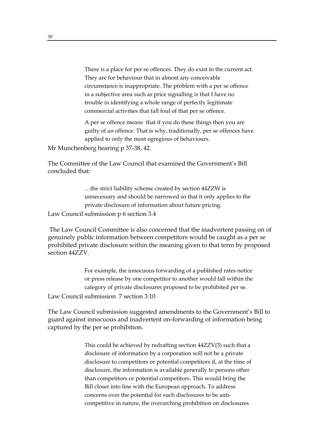There is a place for per se offences. They do exist in the current act. They are for behaviour that in almost any conceivable circumstance is inappropriate. The problem with a per se offence in a subjective area such as price signalling is that I have no trouble in identifying a whole range of perfectly legitimate commercial activities that fall foul of that per se offence.

A per se offence means that if you do these things then you are guilty of an offence. That is why, traditionally, per se offences have applied to only the most egregious of behaviours.

Mr Munchenberg hearing p 37-38, 42.

The Committee of the Law Council that examined the Government's Bill concluded that:

…the strict liability scheme created by section 44ZZW is unnecessary and should be narrowed so that it only applies to the private disclosure of information about future pricing. Law Council submission p 6 section 3.4

 The Law Council Committee is also concerned that the inadvertent passing on of genuinely public information between competitors would be caught as a per se prohibited private disclosure within the meaning given to that term by proposed section 44ZZV.

For example, the innocuous forwarding of a published rates notice or press release by one competitor to another would fall within the category of private disclosures proposed to be prohibited per se. Law Council submission 7 section 3.10

The Law Council submission suggested amendments to the Government's Bill to guard against innocuous and inadvertent on-forwarding of information being captured by the per se prohibition.

> This could be achieved by redrafting section 44ZZV(3) such that a disclosure of information by a corporation will not be a private disclosure to competitors or potential competitors if, at the time of disclosure, the information is available generally to persons other than competitors or potential competitors. This would bring the Bill closer into line with the European approach. To address concerns over the potential for such disclosures to be anticompetitive in nature, the overarching prohibition on disclosures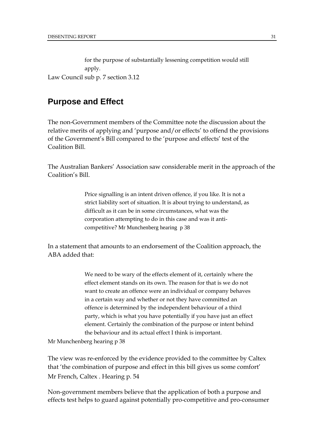for the purpose of substantially lessening competition would still apply. Law Council sub p. 7 section 3.12

### **Purpose and Effect**

The non-Government members of the Committee note the discussion about the relative merits of applying and 'purpose and/or effects' to offend the provisions of the Government's Bill compared to the 'purpose and effects' test of the Coalition Bill.

The Australian Bankers' Association saw considerable merit in the approach of the Coalition's Bill.

> Price signalling is an intent driven offence, if you like. It is not a strict liability sort of situation. It is about trying to understand, as difficult as it can be in some circumstances, what was the corporation attempting to do in this case and was it anticompetitive? Mr Munchenberg hearing p 38

In a statement that amounts to an endorsement of the Coalition approach, the ABA added that:

> We need to be wary of the effects element of it, certainly where the effect element stands on its own. The reason for that is we do not want to create an offence were an individual or company behaves in a certain way and whether or not they have committed an offence is determined by the independent behaviour of a third party, which is what you have potentially if you have just an effect element. Certainly the combination of the purpose or intent behind the behaviour and its actual effect I think is important.

Mr Munchenberg hearing p 38

The view was re-enforced by the evidence provided to the committee by Caltex that 'the combination of purpose and effect in this bill gives us some comfort' Mr French, Caltex . Hearing p. 54

Non-government members believe that the application of both a purpose and effects test helps to guard against potentially pro-competitive and pro-consumer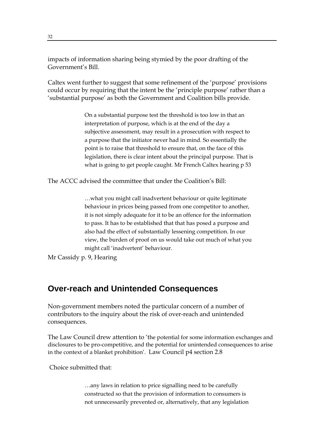impacts of information sharing being stymied by the poor drafting of the Government's Bill.

Caltex went further to suggest that some refinement of the 'purpose' provisions could occur by requiring that the intent be the 'principle purpose' rather than a 'substantial purpose' as both the Government and Coalition bills provide.

> On a substantial purpose test the threshold is too low in that an interpretation of purpose, which is at the end of the day a subjective assessment, may result in a prosecution with respect to a purpose that the initiator never had in mind. So essentially the point is to raise that threshold to ensure that, on the face of this legislation, there is clear intent about the principal purpose. That is what is going to get people caught. Mr French Caltex hearing p 53

The ACCC advised the committee that under the Coalition's Bill:

…what you might call inadvertent behaviour or quite legitimate behaviour in prices being passed from one competitor to another, it is not simply adequate for it to be an offence for the information to pass. It has to be established that that has posed a purpose and also had the effect of substantially lessening competition. In our view, the burden of proof on us would take out much of what you might call 'inadvertent' behaviour.

Mr Cassidy p. 9, Hearing

### **Over-reach and Unintended Consequences**

Non-government members noted the particular concern of a number of contributors to the inquiry about the risk of over-reach and unintended consequences.

The Law Council drew attention to 'the potential for some information exchanges and disclosures to be pro-competitive, and the potential for unintended consequences to arise in the context of a blanket prohibition'. Law Council p4 section 2.8

Choice submitted that:

…any laws in relation to price signalling need to be carefully constructed so that the provision of information to consumers is not unnecessarily prevented or, alternatively, that any legislation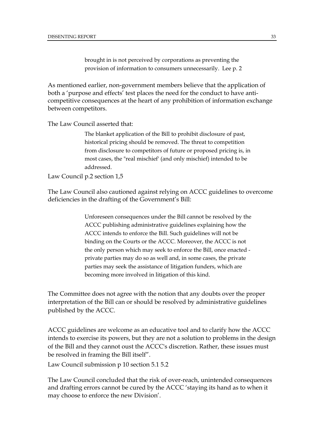brought in is not perceived by corporations as preventing the provision of information to consumers unnecessarily. Lee p. 2

As mentioned earlier, non-government members believe that the application of both a 'purpose and effects' test places the need for the conduct to have anticompetitive consequences at the heart of any prohibition of information exchange between competitors.

The Law Council asserted that:

The blanket application of the Bill to prohibit disclosure of past, historical pricing should be removed. The threat to competition from disclosure to competitors of future or proposed pricing is, in most cases, the "real mischief' (and only mischief) intended to be addressed.

Law Council p.2 section 1,5

The Law Council also cautioned against relying on ACCC guidelines to overcome deficiencies in the drafting of the Government's Bill:

> Unforeseen consequences under the Bill cannot be resolved by the ACCC publishing administrative guidelines explaining how the ACCC intends to enforce the Bill. Such guidelines will not be binding on the Courts or the ACCC. Moreover, the ACCC is not the only person which may seek to enforce the Bill, once enacted private parties may do so as well and, in some cases, the private parties may seek the assistance of litigation funders, which are becoming more involved in litigation of this kind.

The Committee does not agree with the notion that any doubts over the proper interpretation of the Bill can or should be resolved by administrative guidelines published by the ACCC.

ACCC guidelines are welcome as an educative tool and to clarify how the ACCC intends to exercise its powers, but they are not a solution to problems in the design of the Bill and they cannot oust the ACCC's discretion. Rather, these issues must be resolved in framing the Bill itself".

Law Council submission p 10 section 5.1 5.2

The Law Council concluded that the risk of over-reach, unintended consequences and drafting errors cannot be cured by the ACCC 'staying its hand as to when it may choose to enforce the new Division'.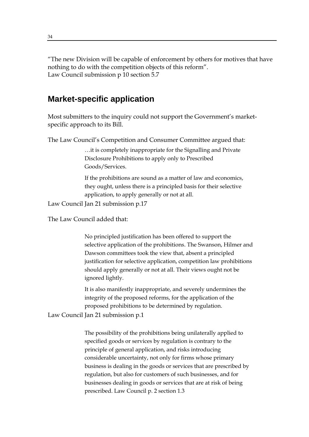"The new Division will be capable of enforcement by others for motives that have nothing to do with the competition objects of this reform". Law Council submission p 10 section 5.7

### **Market-specific application**

Most submitters to the inquiry could not support the Government's marketspecific approach to its Bill.

The Law Council's Competition and Consumer Committee argued that:

…it is completely inappropriate for the Signalling and Private Disclosure Prohibitions to apply only to Prescribed Goods/Services.

If the prohibitions are sound as a matter of law and economics, they ought, unless there is a principled basis for their selective application, to apply generally or not at all.

Law Council Jan 21 submission p.17

The Law Council added that:

No principled justification has been offered to support the selective application of the prohibitions. The Swanson, Hilmer and Dawson committees took the view that, absent a principled justification for selective application, competition law prohibitions should apply generally or not at all. Their views ought not be ignored lightly.

It is also manifestly inappropriate, and severely undermines the integrity of the proposed reforms, for the application of the proposed prohibitions to be determined by regulation.

Law Council Jan 21 submission p.1

The possibility of the prohibitions being unilaterally applied to specified goods or services by regulation is contrary to the principle of general application, and risks introducing considerable uncertainty, not only for firms whose primary business is dealing in the goods or services that are prescribed by regulation, but also for customers of such businesses, and for businesses dealing in goods or services that are at risk of being prescribed. Law Council p. 2 section 1.3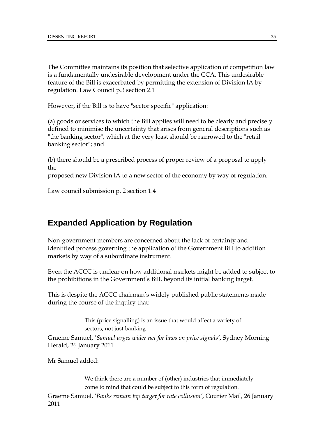The Committee maintains its position that selective application of competition law is a fundamentally undesirable development under the CCA. This undesirable feature of the Bill is exacerbated by permitting the extension of Division lA by regulation. Law Council p.3 section 2.1

However, if the Bill is to have "sector specific" application:

(a) goods or services to which the Bill applies will need to be clearly and precisely defined to minimise the uncertainty that arises from general descriptions such as "the banking sector", which at the very least should be narrowed to the "retail banking sector"; and

(b) there should be a prescribed process of proper review of a proposal to apply the

proposed new Division lA to a new sector of the economy by way of regulation.

Law council submission p. 2 section 1.4

### **Expanded Application by Regulation**

Non-government members are concerned about the lack of certainty and identified process governing the application of the Government Bill to addition markets by way of a subordinate instrument.

Even the ACCC is unclear on how additional markets might be added to subject to the prohibitions in the Government's Bill, beyond its initial banking target.

This is despite the ACCC chairman's widely published public statements made during the course of the inquiry that:

> This (price signalling) is an issue that would affect a variety of sectors, not just banking

Graeme Samuel, '*Samuel urges wider net for laws on price signals'*, Sydney Morning Herald, 26 January 2011

Mr Samuel added:

We think there are a number of (other) industries that immediately come to mind that could be subject to this form of regulation.

Graeme Samuel, '*Banks remain top target for rate collusion'*, Courier Mail, 26 January 2011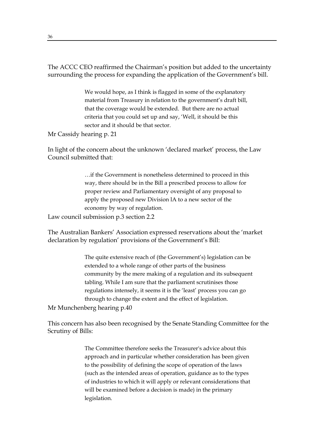The ACCC CEO reaffirmed the Chairman's position but added to the uncertainty surrounding the process for expanding the application of the Government's bill.

> We would hope, as I think is flagged in some of the explanatory material from Treasury in relation to the government's draft bill, that the coverage would be extended. But there are no actual criteria that you could set up and say, 'Well, it should be this sector and it should be that sector.

Mr Cassidy hearing p. 21

In light of the concern about the unknown 'declared market' process, the Law Council submitted that:

> …if the Government is nonetheless determined to proceed in this way, there should be in the Bill a prescribed process to allow for proper review and Parliamentary oversight of any proposal to apply the proposed new Division lA to a new sector of the economy by way of regulation.

Law council submission p.3 section 2.2

The Australian Bankers' Association expressed reservations about the 'market declaration by regulation' provisions of the Government's Bill:

> The quite extensive reach of (the Government's) legislation can be extended to a whole range of other parts of the business community by the mere making of a regulation and its subsequent tabling. While I am sure that the parliament scrutinises those regulations intensely, it seems it is the 'least' process you can go through to change the extent and the effect of legislation.

Mr Munchenberg hearing p.40

This concern has also been recognised by the Senate Standing Committee for the Scrutiny of Bills:

> The Committee therefore seeks the Treasurer's advice about this approach and in particular whether consideration has been given to the possibility of defining the scope of operation of the laws (such as the intended areas of operation, guidance as to the types of industries to which it will apply or relevant considerations that will be examined before a decision is made) in the primary legislation.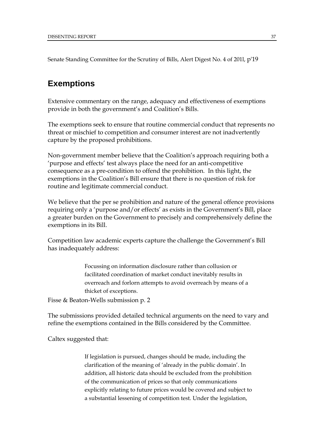Senate Standing Committee for the Scrutiny of Bills, Alert Digest No. 4 of 201l, p'19

### **Exemptions**

Extensive commentary on the range, adequacy and effectiveness of exemptions provide in both the government's and Coalition's Bills.

The exemptions seek to ensure that routine commercial conduct that represents no threat or mischief to competition and consumer interest are not inadvertently capture by the proposed prohibitions.

Non-government member believe that the Coalition's approach requiring both a 'purpose and effects' test always place the need for an anti-competitive consequence as a pre-condition to offend the prohibition. In this light, the exemptions in the Coalition's Bill ensure that there is no question of risk for routine and legitimate commercial conduct.

We believe that the per se prohibition and nature of the general offence provisions requiring only a 'purpose and/or effects' as exists in the Government's Bill, place a greater burden on the Government to precisely and comprehensively define the exemptions in its Bill.

Competition law academic experts capture the challenge the Government's Bill has inadequately address:

> Focussing on information disclosure rather than collusion or facilitated coordination of market conduct inevitably results in overreach and forlorn attempts to avoid overreach by means of a thicket of exceptions.

Fisse & Beaton-Wells submission p. 2

The submissions provided detailed technical arguments on the need to vary and refine the exemptions contained in the Bills considered by the Committee.

Caltex suggested that:

If legislation is pursued, changes should be made, including the clarification of the meaning of 'already in the public domain'. In addition, all historic data should be excluded from the prohibition of the communication of prices so that only communications explicitly relating to future prices would be covered and subject to a substantial lessening of competition test. Under the legislation,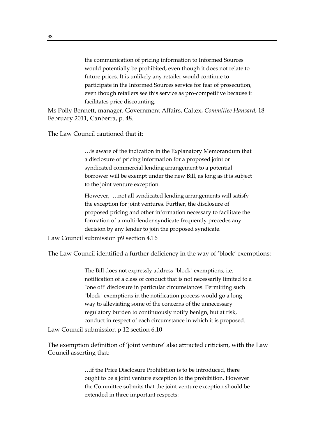the communication of pricing information to Informed Sources would potentially be prohibited, even though it does not relate to future prices. It is unlikely any retailer would continue to participate in the Informed Sources service for fear of prosecution, even though retailers see this service as pro-competitive because it facilitates price discounting.

Ms Polly Bennett, manager, Government Affairs, Caltex, *Committee Hansard*, 18 February 2011, Canberra, p. 48.

The Law Council cautioned that it:

…is aware of the indication in the Explanatory Memorandum that a disclosure of pricing information for a proposed joint or syndicated commercial lending arrangement to a potential borrower will be exempt under the new Bill, as long as it is subject to the joint venture exception.

However, …not all syndicated lending arrangements will satisfy the exception for joint ventures. Further, the disclosure of proposed pricing and other information necessary to facilitate the formation of a multi-lender syndicate frequently precedes any decision by any lender to join the proposed syndicate.

Law Council submission p9 section 4.16

The Law Council identified a further deficiency in the way of 'block' exemptions:

The Bill does not expressly address "block" exemptions, i.e. notification of a class of conduct that is not necessarily limited to a "one off' disclosure in particular circumstances. Permitting such "block" exemptions in the notification process would go a long way to alleviating some of the concerns of the unnecessary regulatory burden to continuously notify benign, but at risk, conduct in respect of each circumstance in which it is proposed.

Law Council submission p 12 section 6.10

The exemption definition of 'joint venture' also attracted criticism, with the Law Council asserting that:

> …if the Price Disclosure Prohibition is to be introduced, there ought to be a joint venture exception to the prohibition. However the Committee submits that the joint venture exception should be extended in three important respects: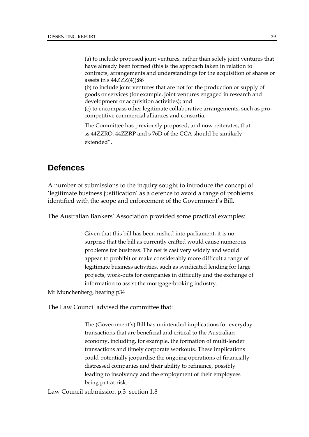(a) to include proposed joint ventures, rather than solely joint ventures that have already been formed (this is the approach taken in relation to contracts, arrangements and understandings for the acquisition of shares or assets in s  $44ZZZ(4)$ ;86

(b) to include joint ventures that are not for the production or supply of goods or services (for example, joint ventures engaged in research and development or acquisition activities); and

(c) to encompass other legitimate collaborative arrangements, such as procompetitive commercial alliances and consortia.

The Committee has previously proposed, and now reiterates, that ss 44ZZRO, 44ZZRP and s 76D of the CCA should be similarly extended".

### **Defences**

A number of submissions to the inquiry sought to introduce the concept of 'legitimate business justification' as a defence to avoid a range of problems identified with the scope and enforcement of the Government's Bill.

The Australian Bankers' Association provided some practical examples:

Given that this bill has been rushed into parliament, it is no surprise that the bill as currently crafted would cause numerous problems for business. The net is cast very widely and would appear to prohibit or make considerably more difficult a range of legitimate business activities, such as syndicated lending for large projects, work-outs for companies in difficulty and the exchange of information to assist the mortgage-broking industry.

Mr Munchenberg, hearing p34

The Law Council advised the committee that:

The (Government's) Bill has unintended implications for everyday transactions that are beneficial and critical to the Australian economy, including, for example, the formation of multi-lender transactions and timely corporate workouts. These implications could potentially jeopardise the ongoing operations of financially distressed companies and their ability to refinance, possibly leading to insolvency and the employment of their employees being put at risk.

Law Council submission p.3 section 1.8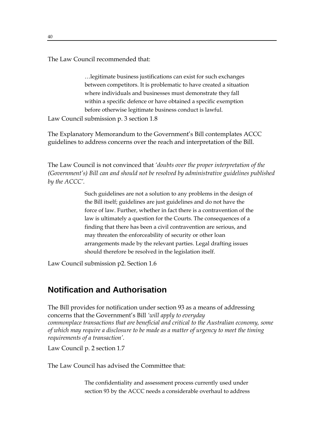The Law Council recommended that:

…legitimate business justifications can exist for such exchanges between competitors. It is problematic to have created a situation where individuals and businesses must demonstrate they fall within a specific defence or have obtained a specific exemption before otherwise legitimate business conduct is lawful.

Law Council submission p. 3 section 1.8

The Explanatory Memorandum to the Government's Bill contemplates ACCC guidelines to address concerns over the reach and interpretation of the Bill.

The Law Council is not convinced that *'doubts over the proper interpretation of the (Government's) Bill can and should not be resolved by administrative guidelines published by the ACCC'.*

> Such guidelines are not a solution to any problems in the design of the Bill itself; guidelines are just guidelines and do not have the force of law. Further, whether in fact there is a contravention of the law is ultimately a question for the Courts. The consequences of a finding that there has been a civil contravention are serious, and may threaten the enforceability of security or other loan arrangements made by the relevant parties. Legal drafting issues should therefore be resolved in the legislation itself.

Law Council submission p2. Section 1.6

### **Notification and Authorisation**

The Bill provides for notification under section 93 as a means of addressing concerns that the Government's Bill *'will apply to everyday commonplace transactions that are beneficial and critical to the Australian economy, some of which may require a disclosure to be made as a matter of urgency to meet the timing requirements of a transaction'.*

Law Council p. 2 section 1.7

The Law Council has advised the Committee that:

The confidentiality and assessment process currently used under section 93 by the ACCC needs a considerable overhaul to address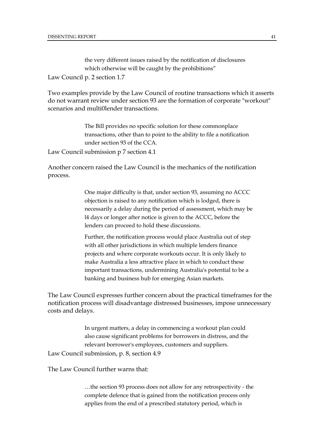the very different issues raised by the notification of disclosures which otherwise will be caught by the prohibitions" Law Council p. 2 section 1.7

Two examples provide by the Law Council of routine transactions which it asserts do not warrant review under section 93 are the formation of corporate "workout" scenarios and multi0lender transactions.

> The Bill provides no specific solution for these commonplace transactions, other than to point to the ability to file a notification under section 93 of the CCA.

Law Council submission p 7 section 4.1

Another concern raised the Law Council is the mechanics of the notification process.

> One major difficulty is that, under section 93, assuming no ACCC objection is raised to any notification which is lodged, there is necessarily a delay during the period of assessment, which may be l4 days or longer after notice is given to the ACCC, before the lenders can proceed to hold these discussions.

Further, the notification process would place Australia out of step with all other jurisdictions in which multiple lenders finance projects and where corporate workouts occur. It is only likely to make Australia a less attractive place in which to conduct these important transactions, undermining Australia's potential to be a banking and business hub for emerging Asian markets.

The Law Council expresses further concern about the practical timeframes for the notification process will disadvantage distressed businesses, impose unnecessary costs and delays.

> In urgent matters, a delay in commencing a workout plan could also cause significant problems for borrowers in distress, and the relevant borrower's employees, customers and suppliers.

Law Council submission, p. 8, section 4.9

The Law Council further warns that:

…the section 93 process does not allow for any retrospectivity - the complete defence that is gained from the notification process only applies from the end of a prescribed statutory period, which is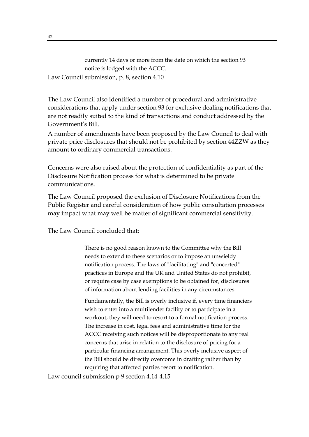currently 14 days or more from the date on which the section 93 notice is lodged with the ACCC. Law Council submission, p. 8, section 4.10

The Law Council also identified a number of procedural and administrative considerations that apply under section 93 for exclusive dealing notifications that are not readily suited to the kind of transactions and conduct addressed by the Government's Bill.

A number of amendments have been proposed by the Law Council to deal with private price disclosures that should not be prohibited by section 44ZZW as they amount to ordinary commercial transactions.

Concerns were also raised about the protection of confidentiality as part of the Disclosure Notification process for what is determined to be private communications.

The Law Council proposed the exclusion of Disclosure Notifications from the Public Register and careful consideration of how public consultation processes may impact what may well be matter of significant commercial sensitivity.

The Law Council concluded that:

There is no good reason known to the Committee why the Bill needs to extend to these scenarios or to impose an unwieldy notification process. The laws of "facilitating" and "concerted" practices in Europe and the UK and United States do not prohibit, or require case by case exemptions to be obtained for, disclosures of information about lending facilities in any circumstances.

Fundamentally, the Bill is overly inclusive if, every time financiers wish to enter into a multilender facility or to participate in a workout, they will need to resort to a formal notification process. The increase in cost, legal fees and administrative time for the ACCC receiving such notices will be disproportionate to any real concerns that arise in relation to the disclosure of pricing for a particular financing arrangement. This overly inclusive aspect of the Bill should be directly overcome in drafting rather than by requiring that affected parties resort to notification.

Law council submission p 9 section 4.14-4.15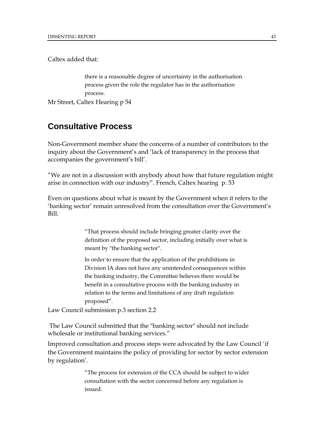Caltex added that:

there is a reasonable degree of uncertainty in the authorisation process given the role the regulator has in the authorisation process.

Mr Street, Caltex Hearing p 54

### **Consultative Process**

Non-Government member share the concerns of a number of contributors to the inquiry about the Government's and 'lack of transparency in the process that accompanies the government's bill'.

"We are not in a discussion with anybody about how that future regulation might arise in connection with our industry". French, Caltex hearing p. 53

Even on questions about what is meant by the Government when it refers to the 'banking sector' remain unresolved from the consultation over the Government's Bill.

> "That process should include bringing greater clarity over the definition of the proposed sector, including initially over what is meant by "the banking sector".

> ln order to ensure that the application of the prohibitions in Division lA does not have any unintended consequences within the banking industry, the Committee believes there would be benefit in a consultative process with the banking industry in relation to the terms and limitations of any draft regulation proposed".

Law Council submission p.3 section 2.2

 The Law Council submitted that the "banking sector" should not include wholesale or institutional banking services."

Improved consultation and process steps were advocated by the Law Council 'if the Government maintains the policy of providing for sector by sector extension by regulation'.

> "The process for extension of the CCA should be subject to wider consultation with the sector concerned before any regulation is issued.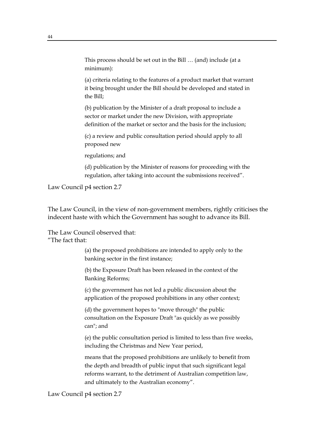This process should be set out in the Bill … (and) include (at a minimum):

(a) criteria relating to the features of a product market that warrant it being brought under the Bill should be developed and stated in the Bill;

(b) publication by the Minister of a draft proposal to include a sector or market under the new Division, with appropriate definition of the market or sector and the basis for the inclusion;

(c) a review and public consultation period should apply to all proposed new

regulations; and

(d) publication by the Minister of reasons for proceeding with the regulation, after taking into account the submissions received".

Law Council p4 section 2.7

The Law Council, in the view of non-government members, rightly criticises the indecent haste with which the Government has sought to advance its Bill.

The Law Council observed that: "The fact that:

> (a) the proposed prohibitions are intended to apply only to the banking sector in the first instance;

(b) the Exposure Draft has been released in the context of the Banking Reforms;

(c) the government has not led a public discussion about the application of the proposed prohibitions in any other context;

(d) the government hopes to "move through" the public consultation on the Exposure Draft "as quickly as we possibly can"; and

(e) the public consultation period is limited to less than five weeks, including the Christmas and New Year period,

means that the proposed prohibitions are unlikely to benefit from the depth and breadth of public input that such significant legal reforms warrant, to the detriment of Australian competition law, and ultimately to the Australian economy".

Law Council p4 section 2.7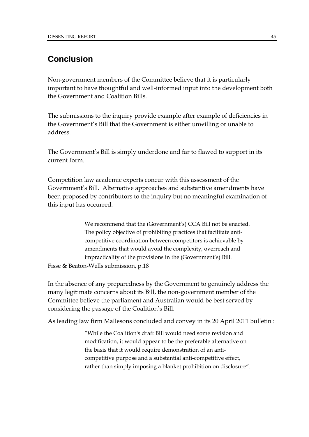### **Conclusion**

Non-government members of the Committee believe that it is particularly important to have thoughtful and well-informed input into the development both the Government and Coalition Bills.

The submissions to the inquiry provide example after example of deficiencies in the Government's Bill that the Government is either unwilling or unable to address.

The Government's Bill is simply underdone and far to flawed to support in its current form.

Competition law academic experts concur with this assessment of the Government's Bill. Alternative approaches and substantive amendments have been proposed by contributors to the inquiry but no meaningful examination of this input has occurred.

> We recommend that the (Government's) CCA Bill not be enacted. The policy objective of prohibiting practices that facilitate anticompetitive coordination between competitors is achievable by amendments that would avoid the complexity, overreach and impracticality of the provisions in the (Government's) Bill.

Fisse & Beaton-Wells submission, p.18

In the absence of any preparedness by the Government to genuinely address the many legitimate concerns about its Bill, the non-government member of the Committee believe the parliament and Australian would be best served by considering the passage of the Coalition's Bill.

As leading law firm Mallesons concluded and convey in its 20 April 2011 bulletin :

"While the Coalition's draft Bill would need some revision and modification, it would appear to be the preferable alternative on the basis that it would require demonstration of an anticompetitive purpose and a substantial anti-competitive effect, rather than simply imposing a blanket prohibition on disclosure".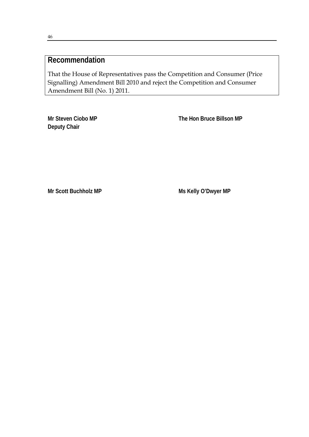### **Recommendation**

That the House of Representatives pass the Competition and Consumer (Price Signalling) Amendment Bill 2010 and reject the Competition and Consumer Amendment Bill (No. 1) 2011.

**Deputy Chair** 

**Mr Steven Ciobo MP** The Hon Bruce Billson MP

Mr Scott Buchholz MP **Ms Kelly O'Dwyer MP**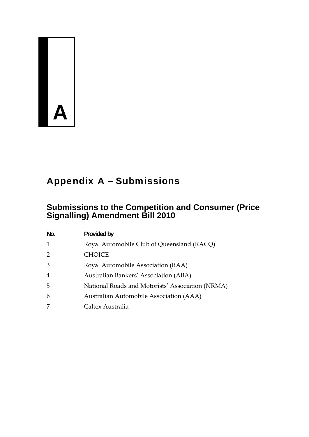## $\mathbf{A}$

### Appendix A – Submissions

### **Submissions to the Competition and Consumer (Price Signalling) Amendment Bill 2010**

| No. | Provided by                                      |
|-----|--------------------------------------------------|
| 1   | Royal Automobile Club of Queensland (RACQ)       |
| 2   | <b>CHOICE</b>                                    |
| 3   | Royal Automobile Association (RAA)               |
| 4   | Australian Bankers' Association (ABA)            |
| 5   | National Roads and Motorists' Association (NRMA) |
| 6   | Australian Automobile Association (AAA)          |
| 7   | Caltex Australia                                 |
|     |                                                  |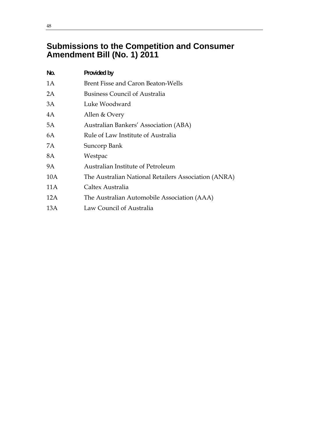### **Submissions to the Competition and Consumer Amendment Bill (No. 1) 2011**

| No. | Provided by                                          |
|-----|------------------------------------------------------|
| 1A  | Brent Fisse and Caron Beaton-Wells                   |
| 2A  | <b>Business Council of Australia</b>                 |
| 3A  | Luke Woodward                                        |
| 4A  | Allen & Overy                                        |
| 5A  | Australian Bankers' Association (ABA)                |
| 6A  | Rule of Law Institute of Australia                   |
| 7А  | Suncorp Bank                                         |
| 8A  | Westpac                                              |
| 9A  | Australian Institute of Petroleum                    |
| 10A | The Australian National Retailers Association (ANRA) |
| 11A | Caltex Australia                                     |
| 12A | The Australian Automobile Association (AAA)          |
| 13A | Law Council of Australia                             |
|     |                                                      |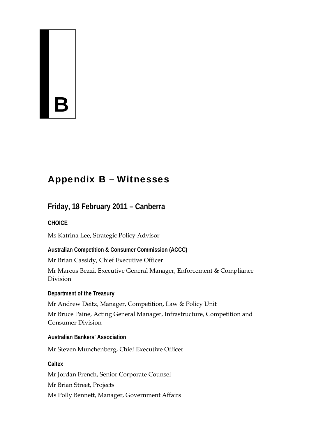# $\frac{1}{2}$

### Appendix B – Witnesses

### **Friday, 18 February 2011 – Canberra**

### **CHOICE**

Ms Katrina Lee, Strategic Policy Advisor

**Australian Competition & Consumer Commission (ACCC)** 

Mr Brian Cassidy, Chief Executive Officer

Mr Marcus Bezzi, Executive General Manager, Enforcement & Compliance Division

**Department of the Treasury** 

Mr Andrew Deitz, Manager, Competition, Law & Policy Unit

Mr Bruce Paine, Acting General Manager, Infrastructure, Competition and Consumer Division

**Australian Bankers' Association** 

Mr Steven Munchenberg, Chief Executive Officer

**Caltex** 

Mr Jordan French, Senior Corporate Counsel

Mr Brian Street, Projects

Ms Polly Bennett, Manager, Government Affairs